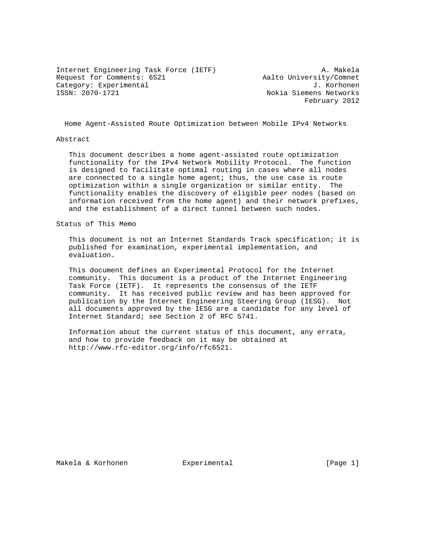Internet Engineering Task Force (IETF) A. Makela Request for Comments: 6521 Aalto University/Comnet Category: Experimental J. Korhonen

Nokia Siemens Networks February 2012

Home Agent-Assisted Route Optimization between Mobile IPv4 Networks

#### Abstract

 This document describes a home agent-assisted route optimization functionality for the IPv4 Network Mobility Protocol. The function is designed to facilitate optimal routing in cases where all nodes are connected to a single home agent; thus, the use case is route optimization within a single organization or similar entity. The functionality enables the discovery of eligible peer nodes (based on information received from the home agent) and their network prefixes, and the establishment of a direct tunnel between such nodes.

Status of This Memo

 This document is not an Internet Standards Track specification; it is published for examination, experimental implementation, and evaluation.

 This document defines an Experimental Protocol for the Internet community. This document is a product of the Internet Engineering Task Force (IETF). It represents the consensus of the IETF community. It has received public review and has been approved for publication by the Internet Engineering Steering Group (IESG). Not all documents approved by the IESG are a candidate for any level of Internet Standard; see Section 2 of RFC 5741.

 Information about the current status of this document, any errata, and how to provide feedback on it may be obtained at http://www.rfc-editor.org/info/rfc6521.

Makela & Korhonen and Experimental and Experimental [Page 1]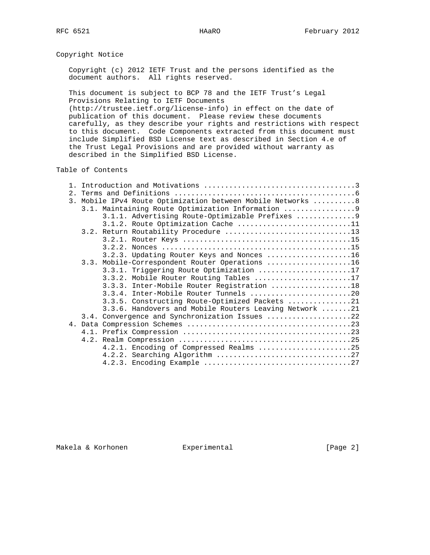Copyright Notice

 Copyright (c) 2012 IETF Trust and the persons identified as the document authors. All rights reserved.

 This document is subject to BCP 78 and the IETF Trust's Legal Provisions Relating to IETF Documents

 (http://trustee.ietf.org/license-info) in effect on the date of publication of this document. Please review these documents carefully, as they describe your rights and restrictions with respect to this document. Code Components extracted from this document must include Simplified BSD License text as described in Section 4.e of the Trust Legal Provisions and are provided without warranty as described in the Simplified BSD License.

Table of Contents

| $2^{\circ}$    |                                                          |
|----------------|----------------------------------------------------------|
| $\mathbf{3}$ . | Mobile IPv4 Route Optimization between Mobile Networks 8 |
|                | 3.1. Maintaining Route Optimization Information 9        |
|                | 3.1.1. Advertising Route-Optimizable Prefixes  9         |
|                | 3.1.2. Route Optimization Cache 11                       |
|                | 3.2. Return Routability Procedure 13                     |
|                |                                                          |
|                |                                                          |
|                | 3.2.3. Updating Router Keys and Nonces 16                |
|                | 3.3. Mobile-Correspondent Router Operations 16           |
|                | 3.3.1. Triggering Route Optimization 17                  |
|                | 3.3.2. Mobile Router Routing Tables 17                   |
|                | 3.3.3. Inter-Mobile Router Registration 18               |
|                |                                                          |
|                | 3.3.5. Constructing Route-Optimized Packets 21           |
|                | 3.3.6. Handovers and Mobile Routers Leaving Network 21   |
|                | 3.4. Convergence and Synchronization Issues 22           |
|                |                                                          |
|                |                                                          |
|                |                                                          |
|                | 4.2.1. Encoding of Compressed Realms 25                  |
|                |                                                          |
|                |                                                          |

Makela & Korhonen and Experimental and Experimental (Page 2)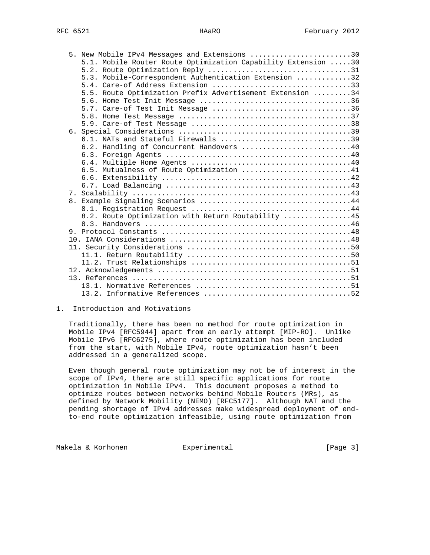|  | 5. New Mobile IPv4 Messages and Extensions 30                 |  |
|--|---------------------------------------------------------------|--|
|  | 5.1. Mobile Router Route Optimization Capability Extension 30 |  |
|  |                                                               |  |
|  | 5.3. Mobile-Correspondent Authentication Extension 32         |  |
|  |                                                               |  |
|  | 5.5. Route Optimization Prefix Advertisement Extension 34     |  |
|  |                                                               |  |
|  | 5.7. Care-of Test Init Message 36                             |  |
|  |                                                               |  |
|  |                                                               |  |
|  |                                                               |  |
|  | 6.1. NATs and Stateful Firewalls 39                           |  |
|  | 6.2. Handling of Concurrent Handovers 40                      |  |
|  |                                                               |  |
|  |                                                               |  |
|  | 6.5. Mutualness of Route Optimization 41                      |  |
|  |                                                               |  |
|  |                                                               |  |
|  |                                                               |  |
|  |                                                               |  |
|  |                                                               |  |
|  | 8.2. Route Optimization with Return Routability 45            |  |
|  |                                                               |  |
|  |                                                               |  |
|  |                                                               |  |
|  |                                                               |  |
|  |                                                               |  |
|  |                                                               |  |
|  |                                                               |  |
|  |                                                               |  |
|  |                                                               |  |
|  |                                                               |  |

### 1. Introduction and Motivations

 Traditionally, there has been no method for route optimization in Mobile IPv4 [RFC5944] apart from an early attempt [MIP-RO]. Unlike Mobile IPv6 [RFC6275], where route optimization has been included from the start, with Mobile IPv4, route optimization hasn't been addressed in a generalized scope.

 Even though general route optimization may not be of interest in the scope of IPv4, there are still specific applications for route optimization in Mobile IPv4. This document proposes a method to optimize routes between networks behind Mobile Routers (MRs), as defined by Network Mobility (NEMO) [RFC5177]. Although NAT and the pending shortage of IPv4 addresses make widespread deployment of end to-end route optimization infeasible, using route optimization from

Makela & Korhonen  $\Box$  Experimental  $\Box$  [Page 3]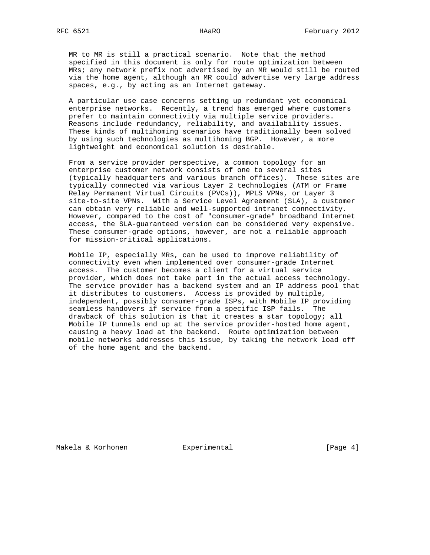MR to MR is still a practical scenario. Note that the method specified in this document is only for route optimization between MRs; any network prefix not advertised by an MR would still be routed via the home agent, although an MR could advertise very large address spaces, e.g., by acting as an Internet gateway.

 A particular use case concerns setting up redundant yet economical enterprise networks. Recently, a trend has emerged where customers prefer to maintain connectivity via multiple service providers. Reasons include redundancy, reliability, and availability issues. These kinds of multihoming scenarios have traditionally been solved by using such technologies as multihoming BGP. However, a more lightweight and economical solution is desirable.

 From a service provider perspective, a common topology for an enterprise customer network consists of one to several sites (typically headquarters and various branch offices). These sites are typically connected via various Layer 2 technologies (ATM or Frame Relay Permanent Virtual Circuits (PVCs)), MPLS VPNs, or Layer 3 site-to-site VPNs. With a Service Level Agreement (SLA), a customer can obtain very reliable and well-supported intranet connectivity. However, compared to the cost of "consumer-grade" broadband Internet access, the SLA-guaranteed version can be considered very expensive. These consumer-grade options, however, are not a reliable approach for mission-critical applications.

 Mobile IP, especially MRs, can be used to improve reliability of connectivity even when implemented over consumer-grade Internet access. The customer becomes a client for a virtual service provider, which does not take part in the actual access technology. The service provider has a backend system and an IP address pool that it distributes to customers. Access is provided by multiple, independent, possibly consumer-grade ISPs, with Mobile IP providing seamless handovers if service from a specific ISP fails. The drawback of this solution is that it creates a star topology; all Mobile IP tunnels end up at the service provider-hosted home agent, causing a heavy load at the backend. Route optimization between mobile networks addresses this issue, by taking the network load off of the home agent and the backend.

Makela & Korhonen and Experimental and Experimental (Page 4)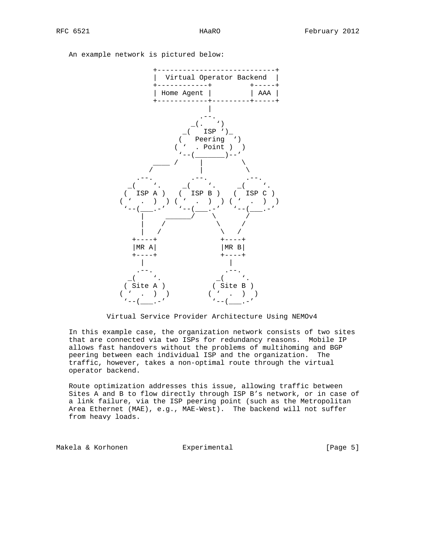An example network is pictured below:



Virtual Service Provider Architecture Using NEMOv4

 In this example case, the organization network consists of two sites that are connected via two ISPs for redundancy reasons. Mobile IP allows fast handovers without the problems of multihoming and BGP peering between each individual ISP and the organization. The traffic, however, takes a non-optimal route through the virtual operator backend.

 Route optimization addresses this issue, allowing traffic between Sites A and B to flow directly through ISP B's network, or in case of a link failure, via the ISP peering point (such as the Metropolitan Area Ethernet (MAE), e.g., MAE-West). The backend will not suffer from heavy loads.

Makela & Korhonen Experimental [Page 5]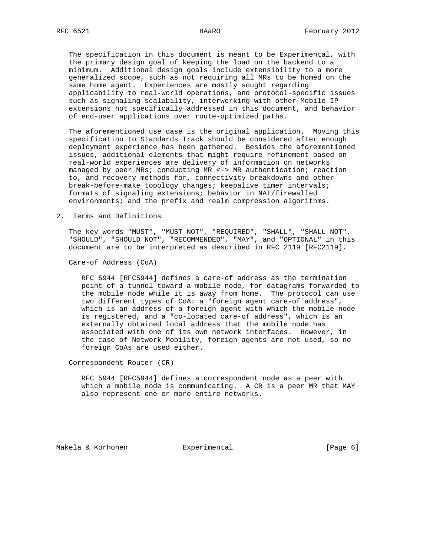The specification in this document is meant to be Experimental, with the primary design goal of keeping the load on the backend to a minimum. Additional design goals include extensibility to a more generalized scope, such as not requiring all MRs to be homed on the same home agent. Experiences are mostly sought regarding applicability to real-world operations, and protocol-specific issues such as signaling scalability, interworking with other Mobile IP extensions not specifically addressed in this document, and behavior of end-user applications over route-optimized paths.

 The aforementioned use case is the original application. Moving this specification to Standards Track should be considered after enough deployment experience has been gathered. Besides the aforementioned issues, additional elements that might require refinement based on real-world experiences are delivery of information on networks managed by peer MRs; conducting MR <-> MR authentication; reaction to, and recovery methods for, connectivity breakdowns and other break-before-make topology changes; keepalive timer intervals; formats of signaling extensions; behavior in NAT/firewalled environments; and the prefix and realm compression algorithms.

2. Terms and Definitions

 The key words "MUST", "MUST NOT", "REQUIRED", "SHALL", "SHALL NOT", "SHOULD", "SHOULD NOT", "RECOMMENDED", "MAY", and "OPTIONAL" in this document are to be interpreted as described in RFC 2119 [RFC2119].

Care-of Address (CoA)

 RFC 5944 [RFC5944] defines a care-of address as the termination point of a tunnel toward a mobile node, for datagrams forwarded to the mobile node while it is away from home. The protocol can use two different types of CoA: a "foreign agent care-of address", which is an address of a foreign agent with which the mobile node is registered, and a "co-located care-of address", which is an externally obtained local address that the mobile node has associated with one of its own network interfaces. However, in the case of Network Mobility, foreign agents are not used, so no foreign CoAs are used either.

Correspondent Router (CR)

 RFC 5944 [RFC5944] defines a correspondent node as a peer with which a mobile node is communicating. A CR is a peer MR that MAY also represent one or more entire networks.

Makela & Korhonen  $\qquad \qquad$  Experimental  $\qquad \qquad$  [Page 6]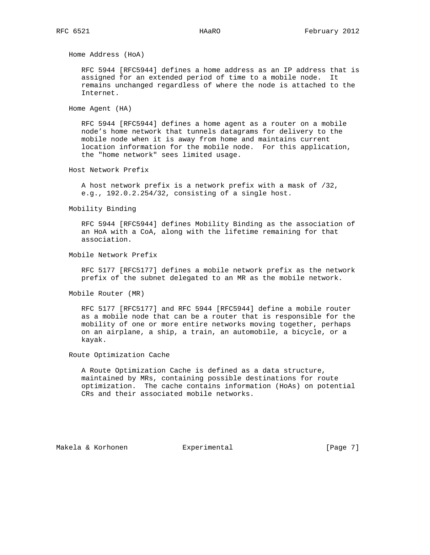Home Address (HoA)

 RFC 5944 [RFC5944] defines a home address as an IP address that is assigned for an extended period of time to a mobile node. It remains unchanged regardless of where the node is attached to the Internet.

Home Agent (HA)

 RFC 5944 [RFC5944] defines a home agent as a router on a mobile node's home network that tunnels datagrams for delivery to the mobile node when it is away from home and maintains current location information for the mobile node. For this application, the "home network" sees limited usage.

Host Network Prefix

 A host network prefix is a network prefix with a mask of /32, e.g., 192.0.2.254/32, consisting of a single host.

Mobility Binding

 RFC 5944 [RFC5944] defines Mobility Binding as the association of an HoA with a CoA, along with the lifetime remaining for that association.

Mobile Network Prefix

 RFC 5177 [RFC5177] defines a mobile network prefix as the network prefix of the subnet delegated to an MR as the mobile network.

Mobile Router (MR)

 RFC 5177 [RFC5177] and RFC 5944 [RFC5944] define a mobile router as a mobile node that can be a router that is responsible for the mobility of one or more entire networks moving together, perhaps on an airplane, a ship, a train, an automobile, a bicycle, or a kayak.

Route Optimization Cache

 A Route Optimization Cache is defined as a data structure, maintained by MRs, containing possible destinations for route optimization. The cache contains information (HoAs) on potential CRs and their associated mobile networks.

Makela & Korhonen and Experimental and Experimental [Page 7]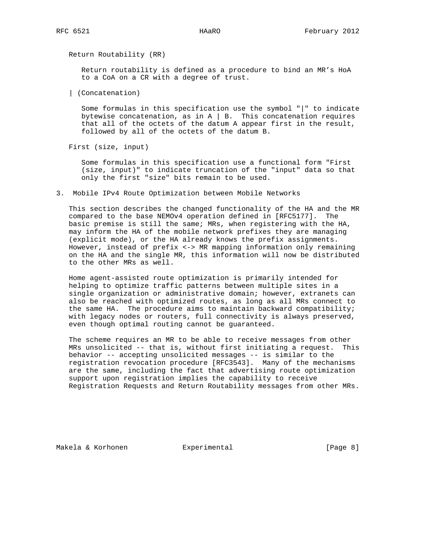Return Routability (RR)

 Return routability is defined as a procedure to bind an MR's HoA to a CoA on a CR with a degree of trust.

| (Concatenation)

 Some formulas in this specification use the symbol "|" to indicate bytewise concatenation, as in  $A \mid B$ . This concatenation requires that all of the octets of the datum A appear first in the result, followed by all of the octets of the datum B.

First (size, input)

 Some formulas in this specification use a functional form "First (size, input)" to indicate truncation of the "input" data so that only the first "size" bits remain to be used.

3. Mobile IPv4 Route Optimization between Mobile Networks

 This section describes the changed functionality of the HA and the MR compared to the base NEMOv4 operation defined in [RFC5177]. The basic premise is still the same; MRs, when registering with the HA, may inform the HA of the mobile network prefixes they are managing (explicit mode), or the HA already knows the prefix assignments. However, instead of prefix <-> MR mapping information only remaining on the HA and the single MR, this information will now be distributed to the other MRs as well.

 Home agent-assisted route optimization is primarily intended for helping to optimize traffic patterns between multiple sites in a single organization or administrative domain; however, extranets can also be reached with optimized routes, as long as all MRs connect to the same HA. The procedure aims to maintain backward compatibility; with legacy nodes or routers, full connectivity is always preserved, even though optimal routing cannot be guaranteed.

 The scheme requires an MR to be able to receive messages from other MRs unsolicited -- that is, without first initiating a request. This behavior -- accepting unsolicited messages -- is similar to the registration revocation procedure [RFC3543]. Many of the mechanisms are the same, including the fact that advertising route optimization support upon registration implies the capability to receive Registration Requests and Return Routability messages from other MRs.

Makela & Korhonen and Experimental and Experimental (Page 8)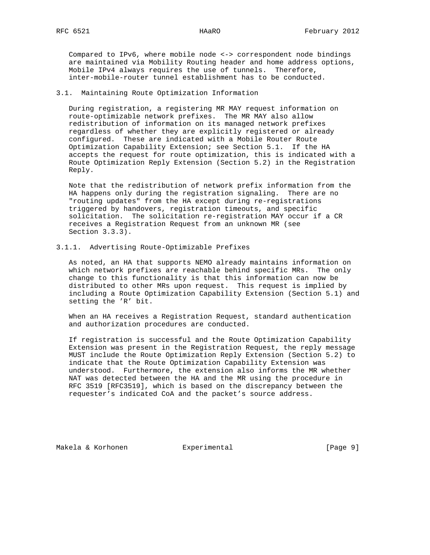Compared to IPv6, where mobile node <-> correspondent node bindings are maintained via Mobility Routing header and home address options, Mobile IPv4 always requires the use of tunnels. Therefore, inter-mobile-router tunnel establishment has to be conducted.

#### 3.1. Maintaining Route Optimization Information

 During registration, a registering MR MAY request information on route-optimizable network prefixes. The MR MAY also allow redistribution of information on its managed network prefixes regardless of whether they are explicitly registered or already configured. These are indicated with a Mobile Router Route Optimization Capability Extension; see Section 5.1. If the HA accepts the request for route optimization, this is indicated with a Route Optimization Reply Extension (Section 5.2) in the Registration Reply.

 Note that the redistribution of network prefix information from the HA happens only during the registration signaling. There are no "routing updates" from the HA except during re-registrations triggered by handovers, registration timeouts, and specific solicitation. The solicitation re-registration MAY occur if a CR receives a Registration Request from an unknown MR (see Section 3.3.3).

#### 3.1.1. Advertising Route-Optimizable Prefixes

 As noted, an HA that supports NEMO already maintains information on which network prefixes are reachable behind specific MRs. The only change to this functionality is that this information can now be distributed to other MRs upon request. This request is implied by including a Route Optimization Capability Extension (Section 5.1) and setting the 'R' bit.

 When an HA receives a Registration Request, standard authentication and authorization procedures are conducted.

 If registration is successful and the Route Optimization Capability Extension was present in the Registration Request, the reply message MUST include the Route Optimization Reply Extension (Section 5.2) to indicate that the Route Optimization Capability Extension was understood. Furthermore, the extension also informs the MR whether NAT was detected between the HA and the MR using the procedure in RFC 3519 [RFC3519], which is based on the discrepancy between the requester's indicated CoA and the packet's source address.

Makela & Korhonen  $\qquad \qquad$  Experimental  $\qquad \qquad$  [Page 9]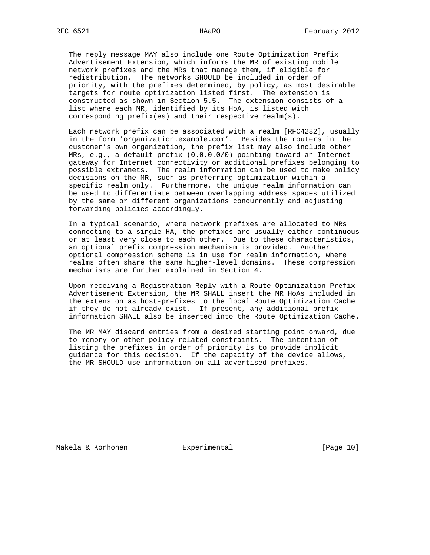The reply message MAY also include one Route Optimization Prefix Advertisement Extension, which informs the MR of existing mobile network prefixes and the MRs that manage them, if eligible for redistribution. The networks SHOULD be included in order of priority, with the prefixes determined, by policy, as most desirable targets for route optimization listed first. The extension is constructed as shown in Section 5.5. The extension consists of a list where each MR, identified by its HoA, is listed with corresponding prefix(es) and their respective realm(s).

 Each network prefix can be associated with a realm [RFC4282], usually in the form 'organization.example.com'. Besides the routers in the customer's own organization, the prefix list may also include other MRs, e.g., a default prefix (0.0.0.0/0) pointing toward an Internet gateway for Internet connectivity or additional prefixes belonging to possible extranets. The realm information can be used to make policy decisions on the MR, such as preferring optimization within a specific realm only. Furthermore, the unique realm information can be used to differentiate between overlapping address spaces utilized by the same or different organizations concurrently and adjusting forwarding policies accordingly.

 In a typical scenario, where network prefixes are allocated to MRs connecting to a single HA, the prefixes are usually either continuous or at least very close to each other. Due to these characteristics, an optional prefix compression mechanism is provided. Another optional compression scheme is in use for realm information, where realms often share the same higher-level domains. These compression mechanisms are further explained in Section 4.

 Upon receiving a Registration Reply with a Route Optimization Prefix Advertisement Extension, the MR SHALL insert the MR HoAs included in the extension as host-prefixes to the local Route Optimization Cache if they do not already exist. If present, any additional prefix information SHALL also be inserted into the Route Optimization Cache.

 The MR MAY discard entries from a desired starting point onward, due to memory or other policy-related constraints. The intention of listing the prefixes in order of priority is to provide implicit guidance for this decision. If the capacity of the device allows, the MR SHOULD use information on all advertised prefixes.

Makela & Korhonen  $\qquad \qquad$  Experimental  $\qquad \qquad$  [Page 10]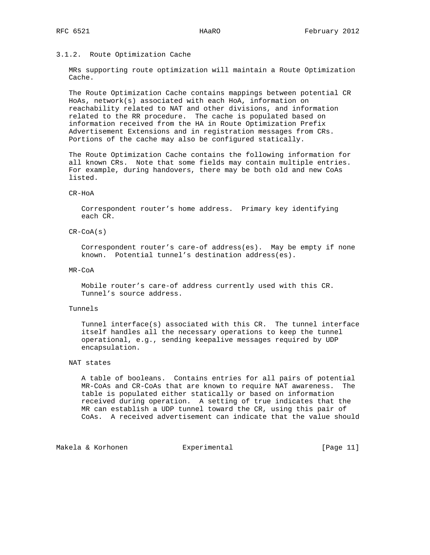# 3.1.2. Route Optimization Cache

 MRs supporting route optimization will maintain a Route Optimization Cache.

 The Route Optimization Cache contains mappings between potential CR HoAs, network(s) associated with each HoA, information on reachability related to NAT and other divisions, and information related to the RR procedure. The cache is populated based on information received from the HA in Route Optimization Prefix Advertisement Extensions and in registration messages from CRs. Portions of the cache may also be configured statically.

 The Route Optimization Cache contains the following information for all known CRs. Note that some fields may contain multiple entries. For example, during handovers, there may be both old and new CoAs listed.

#### CR-HoA

 Correspondent router's home address. Primary key identifying each CR.

# CR-CoA(s)

 Correspondent router's care-of address(es). May be empty if none known. Potential tunnel's destination address(es).

### MR-CoA

 Mobile router's care-of address currently used with this CR. Tunnel's source address.

#### Tunnels

 Tunnel interface(s) associated with this CR. The tunnel interface itself handles all the necessary operations to keep the tunnel operational, e.g., sending keepalive messages required by UDP encapsulation.

## NAT states

 A table of booleans. Contains entries for all pairs of potential MR-CoAs and CR-CoAs that are known to require NAT awareness. The table is populated either statically or based on information received during operation. A setting of true indicates that the MR can establish a UDP tunnel toward the CR, using this pair of CoAs. A received advertisement can indicate that the value should

Makela & Korhonen  $\qquad \qquad$  Experimental  $\qquad \qquad$  [Page 11]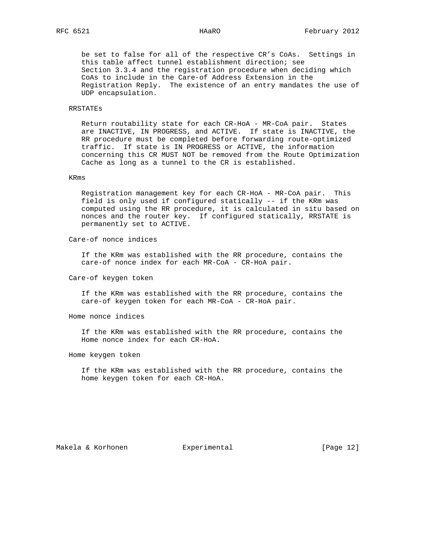be set to false for all of the respective CR's CoAs. Settings in this table affect tunnel establishment direction; see Section 3.3.4 and the registration procedure when deciding which CoAs to include in the Care-of Address Extension in the Registration Reply. The existence of an entry mandates the use of UDP encapsulation.

# RRSTATEs

 Return routability state for each CR-HoA - MR-CoA pair. States are INACTIVE, IN PROGRESS, and ACTIVE. If state is INACTIVE, the RR procedure must be completed before forwarding route-optimized traffic. If state is IN PROGRESS or ACTIVE, the information concerning this CR MUST NOT be removed from the Route Optimization Cache as long as a tunnel to the CR is established.

### KRms

 Registration management key for each CR-HoA - MR-CoA pair. This field is only used if configured statically -- if the KRm was computed using the RR procedure, it is calculated in situ based on nonces and the router key. If configured statically, RRSTATE is permanently set to ACTIVE.

### Care-of nonce indices

 If the KRm was established with the RR procedure, contains the care-of nonce index for each MR-CoA - CR-HoA pair.

## Care-of keygen token

 If the KRm was established with the RR procedure, contains the care-of keygen token for each MR-CoA - CR-HoA pair.

Home nonce indices

 If the KRm was established with the RR procedure, contains the Home nonce index for each CR-HoA.

Home keygen token

 If the KRm was established with the RR procedure, contains the home keygen token for each CR-HoA.

Makela & Korhonen and Experimental [Page 12]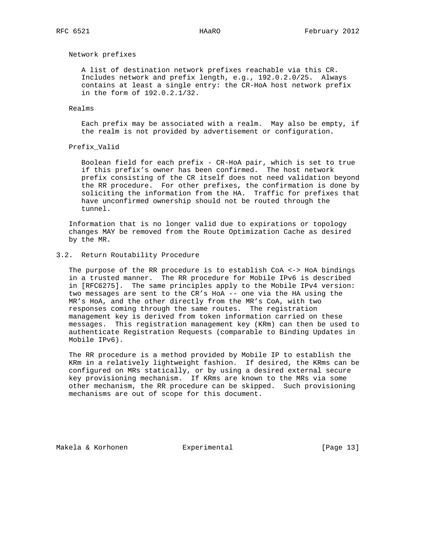# Network prefixes

 A list of destination network prefixes reachable via this CR. Includes network and prefix length, e.g., 192.0.2.0/25. Always contains at least a single entry: the CR-HoA host network prefix in the form of 192.0.2.1/32.

#### Realms

 Each prefix may be associated with a realm. May also be empty, if the realm is not provided by advertisement or configuration.

# Prefix\_Valid

 Boolean field for each prefix - CR-HoA pair, which is set to true if this prefix's owner has been confirmed. The host network prefix consisting of the CR itself does not need validation beyond the RR procedure. For other prefixes, the confirmation is done by soliciting the information from the HA. Traffic for prefixes that have unconfirmed ownership should not be routed through the tunnel.

 Information that is no longer valid due to expirations or topology changes MAY be removed from the Route Optimization Cache as desired by the MR.

# 3.2. Return Routability Procedure

 The purpose of the RR procedure is to establish CoA <-> HoA bindings in a trusted manner. The RR procedure for Mobile IPv6 is described in [RFC6275]. The same principles apply to the Mobile IPv4 version: two messages are sent to the CR's HoA -- one via the HA using the MR's HoA, and the other directly from the MR's CoA, with two responses coming through the same routes. The registration management key is derived from token information carried on these messages. This registration management key (KRm) can then be used to authenticate Registration Requests (comparable to Binding Updates in Mobile IPv6).

 The RR procedure is a method provided by Mobile IP to establish the KRm in a relatively lightweight fashion. If desired, the KRms can be configured on MRs statically, or by using a desired external secure key provisioning mechanism. If KRms are known to the MRs via some other mechanism, the RR procedure can be skipped. Such provisioning mechanisms are out of scope for this document.

Makela & Korhonen  $\qquad \qquad$  Experimental  $\qquad \qquad$  [Page 13]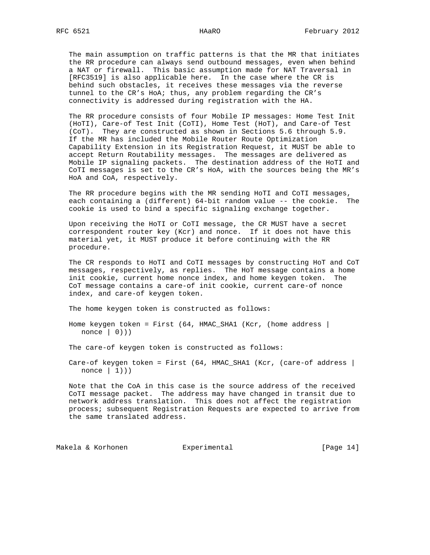The main assumption on traffic patterns is that the MR that initiates the RR procedure can always send outbound messages, even when behind a NAT or firewall. This basic assumption made for NAT Traversal in [RFC3519] is also applicable here. In the case where the CR is behind such obstacles, it receives these messages via the reverse tunnel to the CR's HoA; thus, any problem regarding the CR's connectivity is addressed during registration with the HA.

 The RR procedure consists of four Mobile IP messages: Home Test Init (HoTI), Care-of Test Init (CoTI), Home Test (HoT), and Care-of Test (CoT). They are constructed as shown in Sections 5.6 through 5.9. If the MR has included the Mobile Router Route Optimization Capability Extension in its Registration Request, it MUST be able to accept Return Routability messages. The messages are delivered as Mobile IP signaling packets. The destination address of the HoTI and CoTI messages is set to the CR's HoA, with the sources being the MR's HoA and CoA, respectively.

 The RR procedure begins with the MR sending HoTI and CoTI messages, each containing a (different) 64-bit random value -- the cookie. The cookie is used to bind a specific signaling exchange together.

 Upon receiving the HoTI or CoTI message, the CR MUST have a secret correspondent router key (Kcr) and nonce. If it does not have this material yet, it MUST produce it before continuing with the RR procedure.

 The CR responds to HoTI and CoTI messages by constructing HoT and CoT messages, respectively, as replies. The HoT message contains a home init cookie, current home nonce index, and home keygen token. The CoT message contains a care-of init cookie, current care-of nonce index, and care-of keygen token.

The home keygen token is constructed as follows:

Home keygen token = First  $(64, HMAC\_SHA1 (Kcr, (home address |$ nonce  $(0)$ )

The care-of keygen token is constructed as follows:

Care-of keygen token = First (64, HMAC\_SHA1 (Kcr, (care-of address | nonce  $| 1)$ )

 Note that the CoA in this case is the source address of the received CoTI message packet. The address may have changed in transit due to network address translation. This does not affect the registration process; subsequent Registration Requests are expected to arrive from the same translated address.

Makela & Korhonen  $\qquad \qquad$  Experimental  $\qquad \qquad$  [Page 14]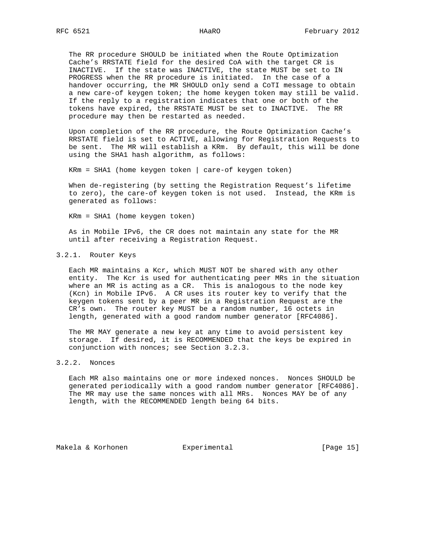The RR procedure SHOULD be initiated when the Route Optimization Cache's RRSTATE field for the desired CoA with the target CR is INACTIVE. If the state was INACTIVE, the state MUST be set to IN PROGRESS when the RR procedure is initiated. In the case of a handover occurring, the MR SHOULD only send a CoTI message to obtain a new care-of keygen token; the home keygen token may still be valid. If the reply to a registration indicates that one or both of the tokens have expired, the RRSTATE MUST be set to INACTIVE. The RR procedure may then be restarted as needed.

 Upon completion of the RR procedure, the Route Optimization Cache's RRSTATE field is set to ACTIVE, allowing for Registration Requests to be sent. The MR will establish a KRm. By default, this will be done using the SHA1 hash algorithm, as follows:

KRm = SHA1 (home keygen token | care-of keygen token)

 When de-registering (by setting the Registration Request's lifetime to zero), the care-of keygen token is not used. Instead, the KRm is generated as follows:

KRm = SHA1 (home keygen token)

 As in Mobile IPv6, the CR does not maintain any state for the MR until after receiving a Registration Request.

### 3.2.1. Router Keys

 Each MR maintains a Kcr, which MUST NOT be shared with any other entity. The Kcr is used for authenticating peer MRs in the situation where an MR is acting as a CR. This is analogous to the node key (Kcn) in Mobile IPv6. A CR uses its router key to verify that the keygen tokens sent by a peer MR in a Registration Request are the CR's own. The router key MUST be a random number, 16 octets in length, generated with a good random number generator [RFC4086].

 The MR MAY generate a new key at any time to avoid persistent key storage. If desired, it is RECOMMENDED that the keys be expired in conjunction with nonces; see Section 3.2.3.

# 3.2.2. Nonces

 Each MR also maintains one or more indexed nonces. Nonces SHOULD be generated periodically with a good random number generator [RFC4086]. The MR may use the same nonces with all MRs. Nonces MAY be of any length, with the RECOMMENDED length being 64 bits.

Makela & Korhonen Experimental [Page 15]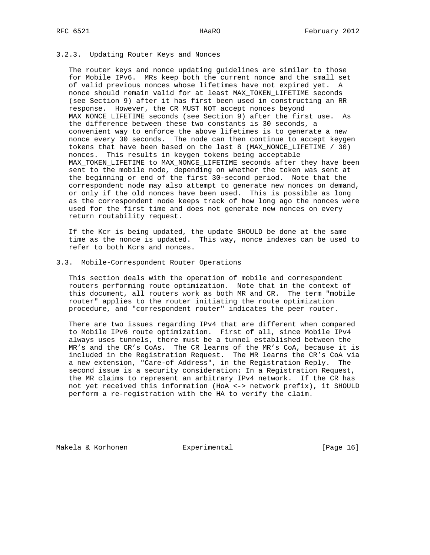# 3.2.3. Updating Router Keys and Nonces

 The router keys and nonce updating guidelines are similar to those for Mobile IPv6. MRs keep both the current nonce and the small set of valid previous nonces whose lifetimes have not expired yet. A nonce should remain valid for at least MAX\_TOKEN\_LIFETIME seconds (see Section 9) after it has first been used in constructing an RR response. However, the CR MUST NOT accept nonces beyond MAX\_NONCE\_LIFETIME seconds (see Section 9) after the first use. As the difference between these two constants is 30 seconds, a convenient way to enforce the above lifetimes is to generate a new nonce every 30 seconds. The node can then continue to accept keygen tokens that have been based on the last 8 (MAX\_NONCE\_LIFETIME / 30) nonces. This results in keygen tokens being acceptable MAX\_TOKEN\_LIFETIME to MAX\_NONCE\_LIFETIME seconds after they have been sent to the mobile node, depending on whether the token was sent at the beginning or end of the first 30-second period. Note that the correspondent node may also attempt to generate new nonces on demand, or only if the old nonces have been used. This is possible as long as the correspondent node keeps track of how long ago the nonces were used for the first time and does not generate new nonces on every return routability request.

 If the Kcr is being updated, the update SHOULD be done at the same time as the nonce is updated. This way, nonce indexes can be used to refer to both Kcrs and nonces.

## 3.3. Mobile-Correspondent Router Operations

 This section deals with the operation of mobile and correspondent routers performing route optimization. Note that in the context of this document, all routers work as both MR and CR. The term "mobile router" applies to the router initiating the route optimization procedure, and "correspondent router" indicates the peer router.

 There are two issues regarding IPv4 that are different when compared to Mobile IPv6 route optimization. First of all, since Mobile IPv4 always uses tunnels, there must be a tunnel established between the MR's and the CR's CoAs. The CR learns of the MR's CoA, because it is included in the Registration Request. The MR learns the CR's CoA via a new extension, "Care-of Address", in the Registration Reply. The second issue is a security consideration: In a Registration Request, the MR claims to represent an arbitrary IPv4 network. If the CR has not yet received this information (HoA <-> network prefix), it SHOULD perform a re-registration with the HA to verify the claim.

Makela & Korhonen  $\qquad \qquad$  Experimental  $\qquad \qquad$  [Page 16]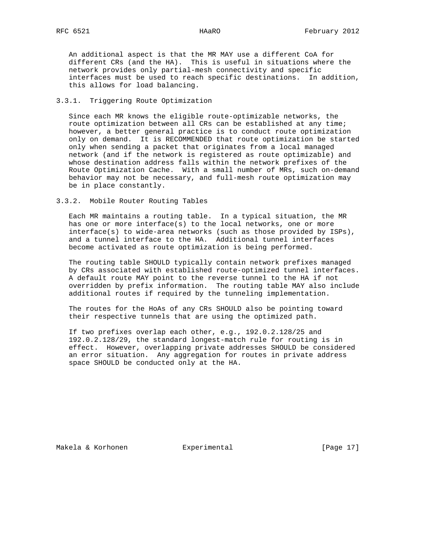An additional aspect is that the MR MAY use a different CoA for different CRs (and the HA). This is useful in situations where the network provides only partial-mesh connectivity and specific interfaces must be used to reach specific destinations. In addition, this allows for load balancing.

# 3.3.1. Triggering Route Optimization

 Since each MR knows the eligible route-optimizable networks, the route optimization between all CRs can be established at any time; however, a better general practice is to conduct route optimization only on demand. It is RECOMMENDED that route optimization be started only when sending a packet that originates from a local managed network (and if the network is registered as route optimizable) and whose destination address falls within the network prefixes of the Route Optimization Cache. With a small number of MRs, such on-demand behavior may not be necessary, and full-mesh route optimization may be in place constantly.

3.3.2. Mobile Router Routing Tables

 Each MR maintains a routing table. In a typical situation, the MR has one or more interface(s) to the local networks, one or more interface(s) to wide-area networks (such as those provided by ISPs), and a tunnel interface to the HA. Additional tunnel interfaces become activated as route optimization is being performed.

 The routing table SHOULD typically contain network prefixes managed by CRs associated with established route-optimized tunnel interfaces. A default route MAY point to the reverse tunnel to the HA if not overridden by prefix information. The routing table MAY also include additional routes if required by the tunneling implementation.

 The routes for the HoAs of any CRs SHOULD also be pointing toward their respective tunnels that are using the optimized path.

 If two prefixes overlap each other, e.g., 192.0.2.128/25 and 192.0.2.128/29, the standard longest-match rule for routing is in effect. However, overlapping private addresses SHOULD be considered an error situation. Any aggregation for routes in private address space SHOULD be conducted only at the HA.

Makela & Korhonen  $\qquad \qquad$  Experimental [Page 17]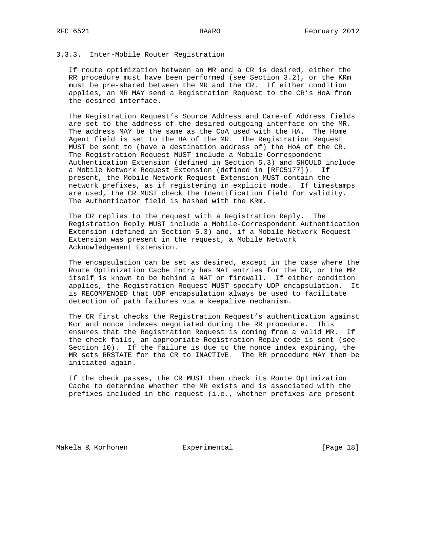# 3.3.3. Inter-Mobile Router Registration

 If route optimization between an MR and a CR is desired, either the RR procedure must have been performed (see Section 3.2), or the KRm must be pre-shared between the MR and the CR. If either condition applies, an MR MAY send a Registration Request to the CR's HoA from the desired interface.

 The Registration Request's Source Address and Care-of Address fields are set to the address of the desired outgoing interface on the MR. The address MAY be the same as the CoA used with the HA. The Home Agent field is set to the HA of the MR. The Registration Request MUST be sent to (have a destination address of) the HoA of the CR. The Registration Request MUST include a Mobile-Correspondent Authentication Extension (defined in Section 5.3) and SHOULD include a Mobile Network Request Extension (defined in [RFC5177]). If present, the Mobile Network Request Extension MUST contain the network prefixes, as if registering in explicit mode. If timestamps are used, the CR MUST check the Identification field for validity. The Authenticator field is hashed with the KRm.

 The CR replies to the request with a Registration Reply. The Registration Reply MUST include a Mobile-Correspondent Authentication Extension (defined in Section 5.3) and, if a Mobile Network Request Extension was present in the request, a Mobile Network Acknowledgement Extension.

 The encapsulation can be set as desired, except in the case where the Route Optimization Cache Entry has NAT entries for the CR, or the MR itself is known to be behind a NAT or firewall. If either condition applies, the Registration Request MUST specify UDP encapsulation. It is RECOMMENDED that UDP encapsulation always be used to facilitate detection of path failures via a keepalive mechanism.

 The CR first checks the Registration Request's authentication against Kcr and nonce indexes negotiated during the RR procedure. This ensures that the Registration Request is coming from a valid MR. If the check fails, an appropriate Registration Reply code is sent (see Section 10). If the failure is due to the nonce index expiring, the MR sets RRSTATE for the CR to INACTIVE. The RR procedure MAY then be initiated again.

 If the check passes, the CR MUST then check its Route Optimization Cache to determine whether the MR exists and is associated with the prefixes included in the request (i.e., whether prefixes are present

Makela & Korhonen Experimental [Page 18]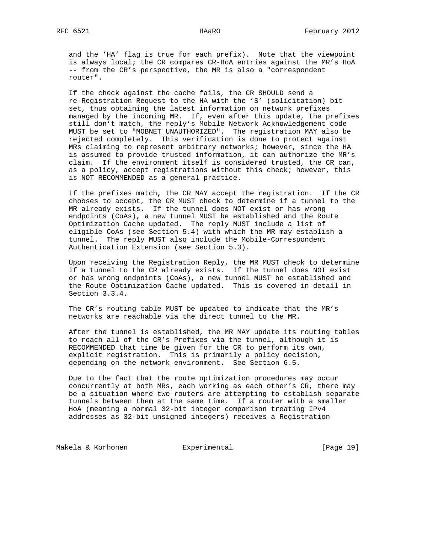and the 'HA' flag is true for each prefix). Note that the viewpoint is always local; the CR compares CR-HoA entries against the MR's HoA -- from the CR's perspective, the MR is also a "correspondent router".

 If the check against the cache fails, the CR SHOULD send a re-Registration Request to the HA with the 'S' (solicitation) bit set, thus obtaining the latest information on network prefixes managed by the incoming MR. If, even after this update, the prefixes still don't match, the reply's Mobile Network Acknowledgement code MUST be set to "MOBNET\_UNAUTHORIZED". The registration MAY also be rejected completely. This verification is done to protect against MRs claiming to represent arbitrary networks; however, since the HA is assumed to provide trusted information, it can authorize the MR's claim. If the environment itself is considered trusted, the CR can, as a policy, accept registrations without this check; however, this is NOT RECOMMENDED as a general practice.

 If the prefixes match, the CR MAY accept the registration. If the CR chooses to accept, the CR MUST check to determine if a tunnel to the MR already exists. If the tunnel does NOT exist or has wrong endpoints (CoAs), a new tunnel MUST be established and the Route Optimization Cache updated. The reply MUST include a list of eligible CoAs (see Section 5.4) with which the MR may establish a tunnel. The reply MUST also include the Mobile-Correspondent Authentication Extension (see Section 5.3).

 Upon receiving the Registration Reply, the MR MUST check to determine if a tunnel to the CR already exists. If the tunnel does NOT exist or has wrong endpoints (CoAs), a new tunnel MUST be established and the Route Optimization Cache updated. This is covered in detail in Section 3.3.4.

 The CR's routing table MUST be updated to indicate that the MR's networks are reachable via the direct tunnel to the MR.

 After the tunnel is established, the MR MAY update its routing tables to reach all of the CR's Prefixes via the tunnel, although it is RECOMMENDED that time be given for the CR to perform its own, explicit registration. This is primarily a policy decision, depending on the network environment. See Section 6.5.

 Due to the fact that the route optimization procedures may occur concurrently at both MRs, each working as each other's CR, there may be a situation where two routers are attempting to establish separate tunnels between them at the same time. If a router with a smaller HoA (meaning a normal 32-bit integer comparison treating IPv4 addresses as 32-bit unsigned integers) receives a Registration

Makela & Korhonen  $\qquad \qquad$  Experimental  $\qquad \qquad$  [Page 19]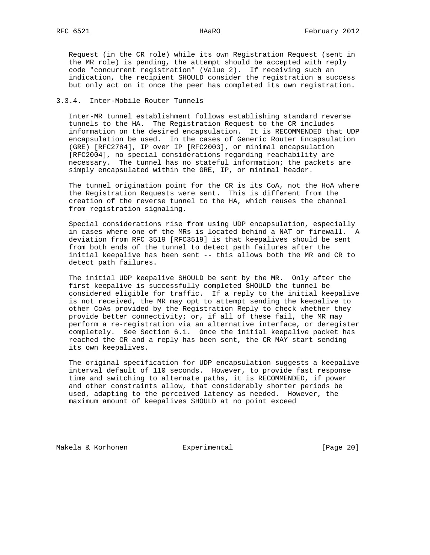Request (in the CR role) while its own Registration Request (sent in the MR role) is pending, the attempt should be accepted with reply code "concurrent registration" (Value 2). If receiving such an indication, the recipient SHOULD consider the registration a success but only act on it once the peer has completed its own registration.

## 3.3.4. Inter-Mobile Router Tunnels

 Inter-MR tunnel establishment follows establishing standard reverse tunnels to the HA. The Registration Request to the CR includes information on the desired encapsulation. It is RECOMMENDED that UDP encapsulation be used. In the cases of Generic Router Encapsulation (GRE) [RFC2784], IP over IP [RFC2003], or minimal encapsulation [RFC2004], no special considerations regarding reachability are necessary. The tunnel has no stateful information; the packets are simply encapsulated within the GRE, IP, or minimal header.

 The tunnel origination point for the CR is its CoA, not the HoA where the Registration Requests were sent. This is different from the creation of the reverse tunnel to the HA, which reuses the channel from registration signaling.

 Special considerations rise from using UDP encapsulation, especially in cases where one of the MRs is located behind a NAT or firewall. A deviation from RFC 3519 [RFC3519] is that keepalives should be sent from both ends of the tunnel to detect path failures after the initial keepalive has been sent -- this allows both the MR and CR to detect path failures.

 The initial UDP keepalive SHOULD be sent by the MR. Only after the first keepalive is successfully completed SHOULD the tunnel be considered eligible for traffic. If a reply to the initial keepalive is not received, the MR may opt to attempt sending the keepalive to other CoAs provided by the Registration Reply to check whether they provide better connectivity; or, if all of these fail, the MR may perform a re-registration via an alternative interface, or deregister completely. See Section 6.1. Once the initial keepalive packet has reached the CR and a reply has been sent, the CR MAY start sending its own keepalives.

 The original specification for UDP encapsulation suggests a keepalive interval default of 110 seconds. However, to provide fast response time and switching to alternate paths, it is RECOMMENDED, if power and other constraints allow, that considerably shorter periods be used, adapting to the perceived latency as needed. However, the maximum amount of keepalives SHOULD at no point exceed

Makela & Korhonen  $\qquad \qquad$  Experimental  $\qquad \qquad$  [Page 20]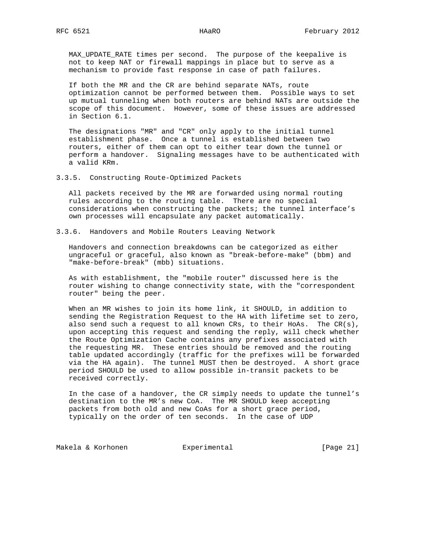MAX\_UPDATE\_RATE times per second. The purpose of the keepalive is not to keep NAT or firewall mappings in place but to serve as a mechanism to provide fast response in case of path failures.

 If both the MR and the CR are behind separate NATs, route optimization cannot be performed between them. Possible ways to set up mutual tunneling when both routers are behind NATs are outside the scope of this document. However, some of these issues are addressed in Section 6.1.

 The designations "MR" and "CR" only apply to the initial tunnel establishment phase. Once a tunnel is established between two routers, either of them can opt to either tear down the tunnel or perform a handover. Signaling messages have to be authenticated with a valid KRm.

3.3.5. Constructing Route-Optimized Packets

 All packets received by the MR are forwarded using normal routing rules according to the routing table. There are no special considerations when constructing the packets; the tunnel interface's own processes will encapsulate any packet automatically.

3.3.6. Handovers and Mobile Routers Leaving Network

 Handovers and connection breakdowns can be categorized as either ungraceful or graceful, also known as "break-before-make" (bbm) and "make-before-break" (mbb) situations.

 As with establishment, the "mobile router" discussed here is the router wishing to change connectivity state, with the "correspondent router" being the peer.

 When an MR wishes to join its home link, it SHOULD, in addition to sending the Registration Request to the HA with lifetime set to zero, also send such a request to all known CRs, to their HoAs. The CR(s), upon accepting this request and sending the reply, will check whether the Route Optimization Cache contains any prefixes associated with the requesting MR. These entries should be removed and the routing table updated accordingly (traffic for the prefixes will be forwarded via the HA again). The tunnel MUST then be destroyed. A short grace period SHOULD be used to allow possible in-transit packets to be received correctly.

 In the case of a handover, the CR simply needs to update the tunnel's destination to the MR's new CoA. The MR SHOULD keep accepting packets from both old and new CoAs for a short grace period, typically on the order of ten seconds. In the case of UDP

Makela & Korhonen Experimental [Page 21]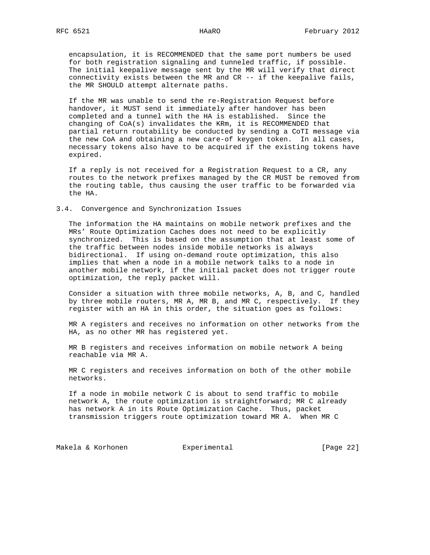encapsulation, it is RECOMMENDED that the same port numbers be used for both registration signaling and tunneled traffic, if possible. The initial keepalive message sent by the MR will verify that direct connectivity exists between the MR and CR -- if the keepalive fails, the MR SHOULD attempt alternate paths.

 If the MR was unable to send the re-Registration Request before handover, it MUST send it immediately after handover has been completed and a tunnel with the HA is established. Since the changing of CoA(s) invalidates the KRm, it is RECOMMENDED that partial return routability be conducted by sending a CoTI message via the new CoA and obtaining a new care-of keygen token. In all cases, necessary tokens also have to be acquired if the existing tokens have expired.

 If a reply is not received for a Registration Request to a CR, any routes to the network prefixes managed by the CR MUST be removed from the routing table, thus causing the user traffic to be forwarded via the HA.

#### 3.4. Convergence and Synchronization Issues

 The information the HA maintains on mobile network prefixes and the MRs' Route Optimization Caches does not need to be explicitly synchronized. This is based on the assumption that at least some of the traffic between nodes inside mobile networks is always bidirectional. If using on-demand route optimization, this also implies that when a node in a mobile network talks to a node in another mobile network, if the initial packet does not trigger route optimization, the reply packet will.

 Consider a situation with three mobile networks, A, B, and C, handled by three mobile routers, MR A, MR B, and MR C, respectively. If they register with an HA in this order, the situation goes as follows:

 MR A registers and receives no information on other networks from the HA, as no other MR has registered yet.

 MR B registers and receives information on mobile network A being reachable via MR A.

 MR C registers and receives information on both of the other mobile networks.

 If a node in mobile network C is about to send traffic to mobile network A, the route optimization is straightforward; MR C already has network A in its Route Optimization Cache. Thus, packet transmission triggers route optimization toward MR A. When MR C

Makela & Korhonen  $\qquad \qquad$  Experimental  $\qquad \qquad$  [Page 22]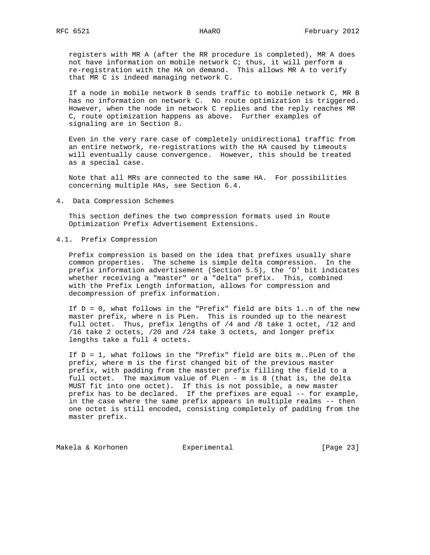registers with MR A (after the RR procedure is completed), MR A does not have information on mobile network C; thus, it will perform a re-registration with the HA on demand. This allows MR A to verify that MR C is indeed managing network C.

 If a node in mobile network B sends traffic to mobile network C, MR B has no information on network C. No route optimization is triggered. However, when the node in network C replies and the reply reaches MR C, route optimization happens as above. Further examples of signaling are in Section 8.

 Even in the very rare case of completely unidirectional traffic from an entire network, re-registrations with the HA caused by timeouts will eventually cause convergence. However, this should be treated as a special case.

 Note that all MRs are connected to the same HA. For possibilities concerning multiple HAs, see Section 6.4.

4. Data Compression Schemes

 This section defines the two compression formats used in Route Optimization Prefix Advertisement Extensions.

# 4.1. Prefix Compression

 Prefix compression is based on the idea that prefixes usually share common properties. The scheme is simple delta compression. In the prefix information advertisement (Section 5.5), the 'D' bit indicates whether receiving a "master" or a "delta" prefix. This, combined with the Prefix Length information, allows for compression and decompression of prefix information.

 If D = 0, what follows in the "Prefix" field are bits 1..n of the new master prefix, where n is PLen. This is rounded up to the nearest full octet. Thus, prefix lengths of /4 and /8 take 1 octet, /12 and /16 take 2 octets, /20 and /24 take 3 octets, and longer prefix lengths take a full 4 octets.

 If D = 1, what follows in the "Prefix" field are bits m..PLen of the prefix, where m is the first changed bit of the previous master prefix, with padding from the master prefix filling the field to a full octet. The maximum value of PLen - m is 8 (that is, the delta MUST fit into one octet). If this is not possible, a new master prefix has to be declared. If the prefixes are equal -- for example, in the case where the same prefix appears in multiple realms -- then one octet is still encoded, consisting completely of padding from the master prefix.

Makela & Korhonen  $\qquad \qquad$  Experimental  $\qquad \qquad$  [Page 23]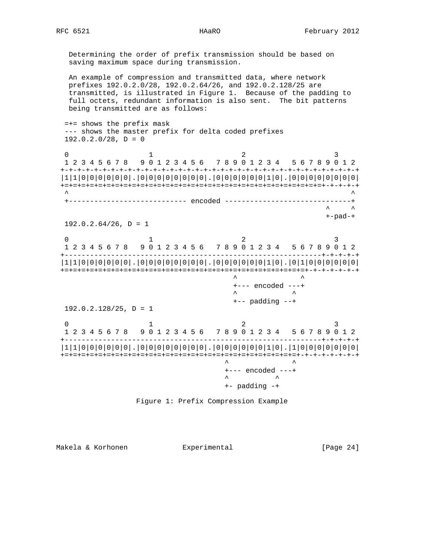Determining the order of prefix transmission should be based on saving maximum space during transmission.

 An example of compression and transmitted data, where network prefixes 192.0.2.0/28, 192.0.2.64/26, and 192.0.2.128/25 are transmitted, is illustrated in Figure 1. Because of the padding to full octets, redundant information is also sent. The bit patterns being transmitted are as follows:

 =+= shows the prefix mask --- shows the master prefix for delta coded prefixes  $192.0.2.0/28$ ,  $D = 0$ 

0  $1$  2 3 1 2 3 4 5 6 7 8 9 0 1 2 3 4 5 6 7 8 9 0 1 2 3 4 5 6 7 8 9 0 1 2 +-+-+-+-+-+-+-+-+-+-+-+-+-+-+-+-+-+-+-+-+-+-+-+-+-+-+-+-+-+-+-+-+-+-+-+ |1|1|0|0|0|0|0|0|.|0|0|0|0|0|0|0|0|.|0|0|0|0|0|0|1|0|.|0|0|0|0|0|0|0|0| +=+=+=+=+=+=+=+=+=+=+=+=+=+=+=+=+=+=+=+=+=+=+=+=+=+=+=+=+=+=+=+-+-+-+-+  $\wedge$   $\wedge$   $\wedge$   $\wedge$   $\wedge$   $\wedge$   $\wedge$   $\wedge$   $\wedge$   $\wedge$   $\wedge$   $\wedge$   $\wedge$   $\wedge$   $\wedge$   $\wedge$   $\wedge$   $\wedge$   $\wedge$   $\wedge$   $\wedge$   $\wedge$   $\wedge$   $\wedge$   $\wedge$   $\wedge$   $\wedge$   $\wedge$   $\wedge$   $\wedge$   $\wedge$   $\wedge$   $\wedge$   $\wedge$   $\wedge$   $\wedge$   $\wedge$  +---------------------------- encoded ------------------------------+ ^ ^ +-pad-+  $192.0.2.64/26$ ,  $D = 1$ 

0  $1$  2 3 1 2 3 4 5 6 7 8 9 0 1 2 3 4 5 6 7 8 9 0 1 2 3 4 5 6 7 8 9 0 1 2 +-------------------------------------------------------------+-+-+-+-+ |1|1|0|0|0|0|0|0|.|0|0|0|0|0|0|0|0|.|0|0|0|0|0|0|1|0|.|0|1|0|0|0|0|0|0| +=+=+=+=+=+=+=+=+=+=+=+=+=+=+=+=+=+=+=+=+=+=+=+=+=+=+=+=+=+-+-+-+-+-+-+  $\lambda$   $\lambda$  +--- encoded ---+  $\lambda$   $\qquad \qquad \lambda$  +-- padding --+  $192.0.2.128/25$ ,  $D = 1$ 0  $1$  2 3

 1 2 3 4 5 6 7 8 9 0 1 2 3 4 5 6 7 8 9 0 1 2 3 4 5 6 7 8 9 0 1 2 +-------------------------------------------------------------+-+-+-+-+ |1|1|0|0|0|0|0|0|.|0|0|0|0|0|0|0|0|.|0|0|0|0|0|0|1|0|.|1|0|0|0|0|0|0|0| +=+=+=+=+=+=+=+=+=+=+=+=+=+=+=+=+=+=+=+=+=+=+=+=+=+=+=+=+-+-+-+-+-+-+-+  $\lambda$   $\lambda$  +--- encoded ---+  $\lambda$   $\lambda$ +- padding -+



Makela & Korhonen  $\qquad \qquad$  Experimental [Page 24]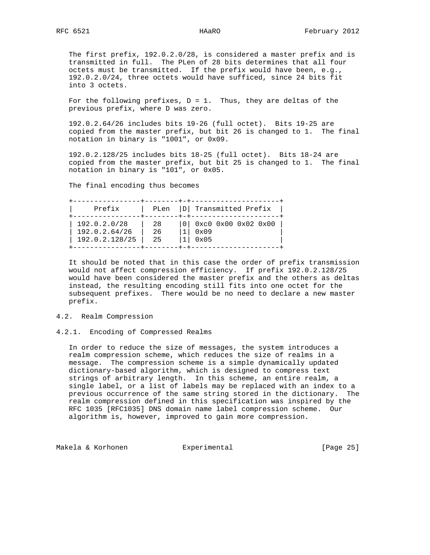The first prefix, 192.0.2.0/28, is considered a master prefix and is transmitted in full. The PLen of 28 bits determines that all four octets must be transmitted. If the prefix would have been, e.g., 192.0.2.0/24, three octets would have sufficed, since 24 bits fit into 3 octets.

For the following prefixes,  $D = 1$ . Thus, they are deltas of the previous prefix, where D was zero.

 192.0.2.64/26 includes bits 19-26 (full octet). Bits 19-25 are copied from the master prefix, but bit 26 is changed to 1. The final notation in binary is "1001", or 0x09.

 192.0.2.128/25 includes bits 18-25 (full octet). Bits 18-24 are copied from the master prefix, but bit 25 is changed to 1. The final notation in binary is "101", or 0x05.

The final encoding thus becomes

| Prefix         | PLen | D  Transmitted Prefix     |
|----------------|------|---------------------------|
| 192.0.2.0/28   | 28   | $ 0 $ 0xc0 0x00 0x02 0x00 |
| 192.0.2.64/26  | 26   | 0x09                      |
| 192.0.2.128/25 | 25   | $0 \times 05$             |

 It should be noted that in this case the order of prefix transmission would not affect compression efficiency. If prefix 192.0.2.128/25 would have been considered the master prefix and the others as deltas instead, the resulting encoding still fits into one octet for the subsequent prefixes. There would be no need to declare a new master prefix.

# 4.2. Realm Compression

# 4.2.1. Encoding of Compressed Realms

 In order to reduce the size of messages, the system introduces a realm compression scheme, which reduces the size of realms in a message. The compression scheme is a simple dynamically updated dictionary-based algorithm, which is designed to compress text strings of arbitrary length. In this scheme, an entire realm, a single label, or a list of labels may be replaced with an index to a previous occurrence of the same string stored in the dictionary. The realm compression defined in this specification was inspired by the RFC 1035 [RFC1035] DNS domain name label compression scheme. Our algorithm is, however, improved to gain more compression.

Makela & Korhonen  $\qquad \qquad$  Experimental  $\qquad \qquad$  [Page 25]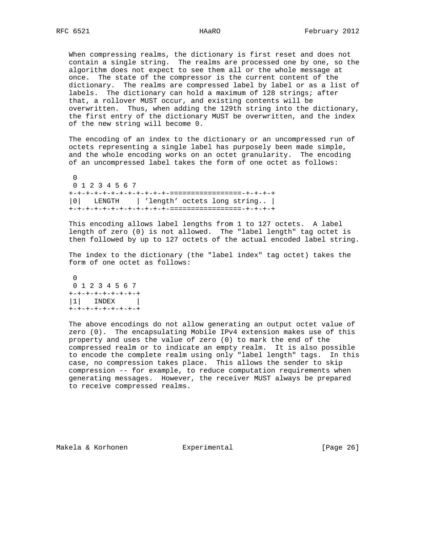When compressing realms, the dictionary is first reset and does not contain a single string. The realms are processed one by one, so the algorithm does not expect to see them all or the whole message at once. The state of the compressor is the current content of the dictionary. The realms are compressed label by label or as a list of labels. The dictionary can hold a maximum of 128 strings; after that, a rollover MUST occur, and existing contents will be overwritten. Thus, when adding the 129th string into the dictionary, the first entry of the dictionary MUST be overwritten, and the index of the new string will become 0.

 The encoding of an index to the dictionary or an uncompressed run of octets representing a single label has purposely been made simple, and the whole encoding works on an octet granularity. The encoding of an uncompressed label takes the form of one octet as follows:

 $\Omega$  0 1 2 3 4 5 6 7 +-+-+-+-+-+-+-+-+-+-+-+-=================-+-+-+-+ |0| LENGTH | 'length' octets long string.. | +-+-+-+-+-+-+-+-+-+-+-+-=================-+-+-+-+

 This encoding allows label lengths from 1 to 127 octets. A label length of zero (0) is not allowed. The "label length" tag octet is then followed by up to 127 octets of the actual encoded label string.

 The index to the dictionary (the "label index" tag octet) takes the form of one octet as follows:

 0 0 1 2 3 4 5 6 7 +-+-+-+-+-+-+-+-+ |1| INDEX | +-+-+-+-+-+-+-+-+

> The above encodings do not allow generating an output octet value of zero (0). The encapsulating Mobile IPv4 extension makes use of this property and uses the value of zero (0) to mark the end of the compressed realm or to indicate an empty realm. It is also possible to encode the complete realm using only "label length" tags. In this case, no compression takes place. This allows the sender to skip compression -- for example, to reduce computation requirements when generating messages. However, the receiver MUST always be prepared to receive compressed realms.

Makela & Korhonen  $\Box$  Experimental [Page 26]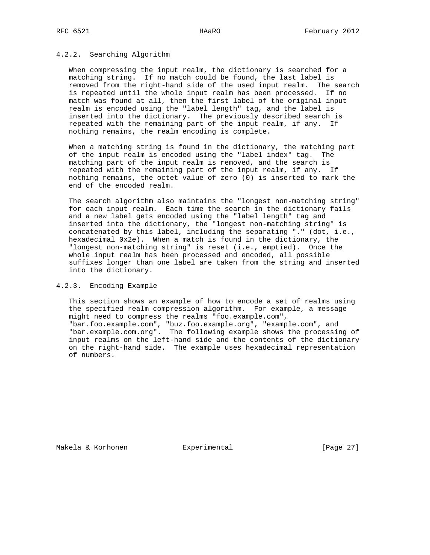## 4.2.2. Searching Algorithm

 When compressing the input realm, the dictionary is searched for a matching string. If no match could be found, the last label is removed from the right-hand side of the used input realm. The search is repeated until the whole input realm has been processed. If no match was found at all, then the first label of the original input realm is encoded using the "label length" tag, and the label is inserted into the dictionary. The previously described search is repeated with the remaining part of the input realm, if any. If nothing remains, the realm encoding is complete.

 When a matching string is found in the dictionary, the matching part of the input realm is encoded using the "label index" tag. The matching part of the input realm is removed, and the search is repeated with the remaining part of the input realm, if any. If nothing remains, the octet value of zero (0) is inserted to mark the end of the encoded realm.

 The search algorithm also maintains the "longest non-matching string" for each input realm. Each time the search in the dictionary fails and a new label gets encoded using the "label length" tag and inserted into the dictionary, the "longest non-matching string" is concatenated by this label, including the separating "." (dot, i.e., hexadecimal 0x2e). When a match is found in the dictionary, the "longest non-matching string" is reset (i.e., emptied). Once the whole input realm has been processed and encoded, all possible suffixes longer than one label are taken from the string and inserted into the dictionary.

## 4.2.3. Encoding Example

 This section shows an example of how to encode a set of realms using the specified realm compression algorithm. For example, a message might need to compress the realms "foo.example.com", "bar.foo.example.com", "buz.foo.example.org", "example.com", and "bar.example.com.org". The following example shows the processing of input realms on the left-hand side and the contents of the dictionary on the right-hand side. The example uses hexadecimal representation of numbers.

Makela & Korhonen  $\qquad \qquad$  Experimental  $\qquad \qquad$  [Page 27]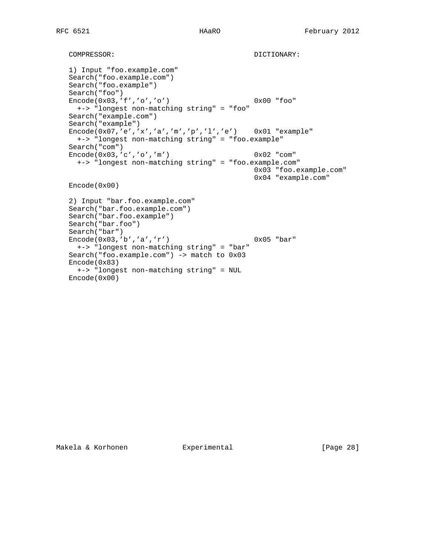```
COMPRESSOR: DICTIONARY:
 1) Input "foo.example.com"
 Search("foo.example.com")
 Search("foo.example")
 Search("foo")
Encode(0x03,'f','o','o') 0x00 "foo"
  +-> "longest non-matching string" = "foo"
 Search("example.com")
 Search("example")
 Encode(0x07,'e','x','a','m','p','l','e') 0x01 "example"
  +-> "longest non-matching string" = "foo.example"
 Search("com")
Encode(0x03,'c','o','m') 0x02 "com"
  +-> "longest non-matching string" = "foo.example.com"
                                          0x03 "foo.example.com"
                                          0x04 "example.com"
 Encode(0x00)
 2) Input "bar.foo.example.com"
 Search("bar.foo.example.com")
 Search("bar.foo.example")
 Search("bar.foo")
 Search("bar")
Encode(0x03,'b','a','r') 0x05 "bar"
  +-> "longest non-matching string" = "bar"
 Search("foo.example.com") -> match to 0x03
 Encode(0x83)
  +-> "longest non-matching string" = NUL
 Encode(0x00)
```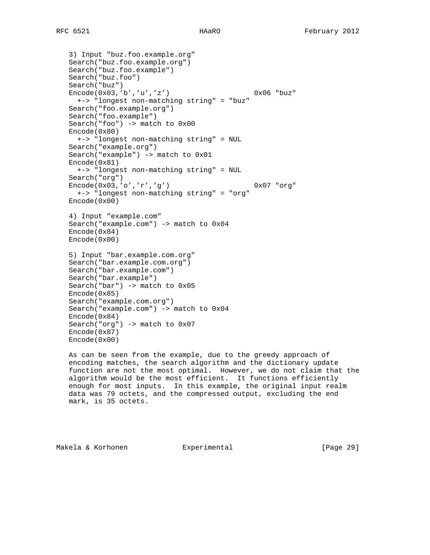```
 3) Input "buz.foo.example.org"
 Search("buz.foo.example.org")
 Search("buz.foo.example")
 Search("buz.foo")
 Search("buz")
 Encode(0x03,'b','u','z') 0x06 "buz"
  +-> "longest non-matching string" = "buz"
 Search("foo.example.org")
 Search("foo.example")
 Search("foo") -> match to 0x00
 Encode(0x80)
  +-> "longest non-matching string" = NUL
 Search("example.org")
 Search("example") -> match to 0x01
 Encode(0x81)
  +-> "longest non-matching string" = NUL
 Search("org")
 Encode(0x03,'o','r','g') 0x07 "org"
  +-> "longest non-matching string" = "org"
 Encode(0x00)
 4) Input "example.com"
 Search("example.com") -> match to 0x04
 Encode(0x84)
 Encode(0x00)
 5) Input "bar.example.com.org"
 Search("bar.example.com.org")
 Search("bar.example.com")
 Search("bar.example")
 Search("bar") -> match to 0x05
 Encode(0x85)
 Search("example.com.org")
 Search("example.com") -> match to 0x04
 Encode(0x84)
 Search("org") -> match to 0x07
 Encode(0x87)
 Encode(0x00)
```
 As can be seen from the example, due to the greedy approach of encoding matches, the search algorithm and the dictionary update function are not the most optimal. However, we do not claim that the algorithm would be the most efficient. It functions efficiently enough for most inputs. In this example, the original input realm data was 79 octets, and the compressed output, excluding the end mark, is 35 octets.

Makela & Korhonen  $\qquad \qquad$  Experimental [Page 29]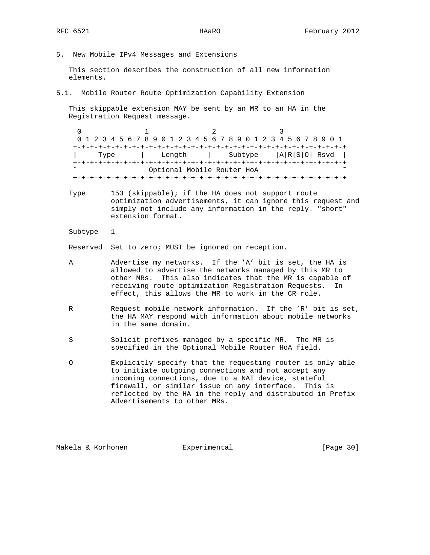5. New Mobile IPv4 Messages and Extensions

 This section describes the construction of all new information elements.

5.1. Mobile Router Route Optimization Capability Extension

 This skippable extension MAY be sent by an MR to an HA in the Registration Request message.

 $0$  1 2 3 0 1 2 3 4 5 6 7 8 9 0 1 2 3 4 5 6 7 8 9 0 1 2 3 4 5 6 7 8 9 0 1 +-+-+-+-+-+-+-+-+-+-+-+-+-+-+-+-+-+-+-+-+-+-+-+-+-+-+-+-+-+-+-+-+ | Type | Length | Subtype |A|R|S|O| Rsvd | +-+-+-+-+-+-+-+-+-+-+-+-+-+-+-+-+-+-+-+-+-+-+-+-+-+-+-+-+-+-+-+-+ Optional Mobile Router HoA +-+-+-+-+-+-+-+-+-+-+-+-+-+-+-+-+-+-+-+-+-+-+-+-+-+-+-+-+-+-+-+-+

- Type 153 (skippable); if the HA does not support route optimization advertisements, it can ignore this request and simply not include any information in the reply. "short" extension format.
- Subtype 1

Reserved Set to zero; MUST be ignored on reception.

- A Advertise my networks. If the 'A' bit is set, the HA is allowed to advertise the networks managed by this MR to other MRs. This also indicates that the MR is capable of receiving route optimization Registration Requests. In effect, this allows the MR to work in the CR role.
- R Request mobile network information. If the 'R' bit is set, the HA MAY respond with information about mobile networks in the same domain.
- S Solicit prefixes managed by a specific MR. The MR is specified in the Optional Mobile Router HoA field.
- O Explicitly specify that the requesting router is only able to initiate outgoing connections and not accept any incoming connections, due to a NAT device, stateful firewall, or similar issue on any interface. This is reflected by the HA in the reply and distributed in Prefix Advertisements to other MRs.

Makela & Korhonen Experimental [Page 30]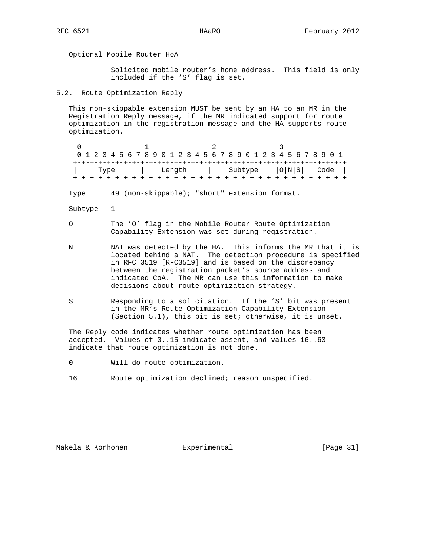Optional Mobile Router HoA

 Solicited mobile router's home address. This field is only included if the 'S' flag is set.

5.2. Route Optimization Reply

 This non-skippable extension MUST be sent by an HA to an MR in the Registration Reply message, if the MR indicated support for route optimization in the registration message and the HA supports route optimization.

 $0$  1 2 3 0 1 2 3 4 5 6 7 8 9 0 1 2 3 4 5 6 7 8 9 0 1 2 3 4 5 6 7 8 9 0 1 +-+-+-+-+-+-+-+-+-+-+-+-+-+-+-+-+-+-+-+-+-+-+-+-+-+-+-+-+-+-+-+-+ | Type | Length | Subtype |O|N|S| Code | +-+-+-+-+-+-+-+-+-+-+-+-+-+-+-+-+-+-+-+-+-+-+-+-+-+-+-+-+-+-+-+-+

Type 49 (non-skippable); "short" extension format.

- Subtype 1
- O The 'O' flag in the Mobile Router Route Optimization Capability Extension was set during registration.
- N NAT was detected by the HA. This informs the MR that it is located behind a NAT. The detection procedure is specified in RFC 3519 [RFC3519] and is based on the discrepancy between the registration packet's source address and indicated CoA. The MR can use this information to make decisions about route optimization strategy.
- S Responding to a solicitation. If the 'S' bit was present in the MR's Route Optimization Capability Extension (Section 5.1), this bit is set; otherwise, it is unset.

 The Reply code indicates whether route optimization has been accepted. Values of 0..15 indicate assent, and values 16..63 indicate that route optimization is not done.

0 Will do route optimization.

16 Route optimization declined; reason unspecified.

Makela & Korhonen Experimental [Page 31]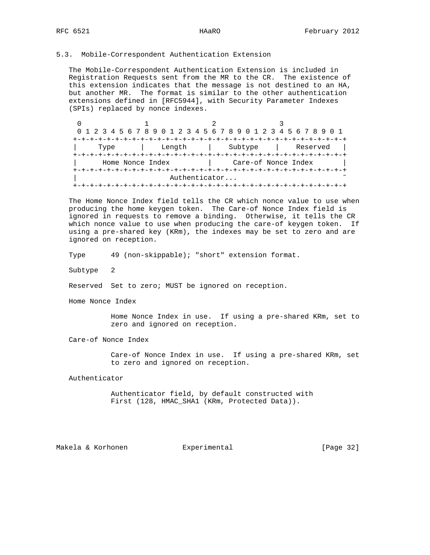# 5.3. Mobile-Correspondent Authentication Extension

 The Mobile-Correspondent Authentication Extension is included in Registration Requests sent from the MR to the CR. The existence of this extension indicates that the message is not destined to an HA, but another MR. The format is similar to the other authentication extensions defined in [RFC5944], with Security Parameter Indexes (SPIs) replaced by nonce indexes.

| 0 1 2 3 4 5 6 7 8 9 0 1 2 3 4 5 6 7 8 9 0 1 2 3 4 5 6 7 8 9 0 1 |               |         |                     |          |
|-----------------------------------------------------------------|---------------|---------|---------------------|----------|
|                                                                 |               |         |                     |          |
| Type                                                            | Length        | Subtype |                     | Reserved |
|                                                                 |               |         |                     |          |
| Home Nonce Index                                                |               |         | Care-of Nonce Index |          |
|                                                                 |               |         |                     |          |
|                                                                 | Authenticator |         |                     |          |
|                                                                 |               |         |                     |          |

 The Home Nonce Index field tells the CR which nonce value to use when producing the home keygen token. The Care-of Nonce Index field is ignored in requests to remove a binding. Otherwise, it tells the CR which nonce value to use when producing the care-of keygen token. If using a pre-shared key (KRm), the indexes may be set to zero and are ignored on reception.

Type 49 (non-skippable); "short" extension format.

Subtype 2

Reserved Set to zero; MUST be ignored on reception.

Home Nonce Index

 Home Nonce Index in use. If using a pre-shared KRm, set to zero and ignored on reception.

Care-of Nonce Index

 Care-of Nonce Index in use. If using a pre-shared KRm, set to zero and ignored on reception.

Authenticator

 Authenticator field, by default constructed with First (128, HMAC\_SHA1 (KRm, Protected Data)).

Makela & Korhonen  $\qquad \qquad$  Experimental [Page 32]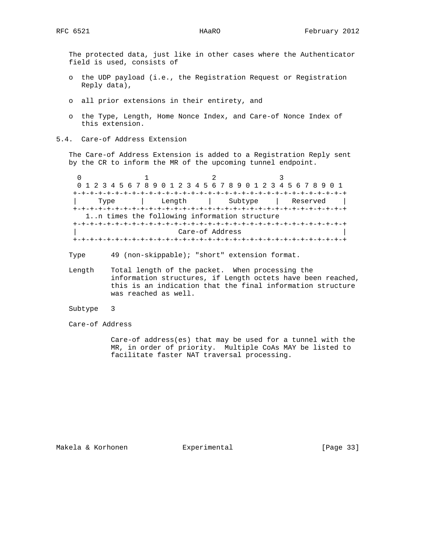The protected data, just like in other cases where the Authenticator field is used, consists of

- o the UDP payload (i.e., the Registration Request or Registration Reply data),
- o all prior extensions in their entirety, and
- o the Type, Length, Home Nonce Index, and Care-of Nonce Index of this extension.
- 5.4. Care-of Address Extension

 The Care-of Address Extension is added to a Registration Reply sent by the CR to inform the MR of the upcoming tunnel endpoint.

 $0$  1 2 3 0 1 2 3 4 5 6 7 8 9 0 1 2 3 4 5 6 7 8 9 0 1 2 3 4 5 6 7 8 9 0 1 +-+-+-+-+-+-+-+-+-+-+-+-+-+-+-+-+-+-+-+-+-+-+-+-+-+-+-+-+-+-+-+-+ | Type | Length | Subtype | Reserved | +-+-+-+-+-+-+-+-+-+-+-+-+-+-+-+-+-+-+-+-+-+-+-+-+-+-+-+-+-+-+-+-+ 1..n times the following information structure +-+-+-+-+-+-+-+-+-+-+-+-+-+-+-+-+-+-+-+-+-+-+-+-+-+-+-+-+-+-+-+-+ | Care-of Address | +-+-+-+-+-+-+-+-+-+-+-+-+-+-+-+-+-+-+-+-+-+-+-+-+-+-+-+-+-+-+-+-+

Type 49 (non-skippable); "short" extension format.

- Length Total length of the packet. When processing the information structures, if Length octets have been reached, this is an indication that the final information structure was reached as well.
- Subtype 3
- Care-of Address

 Care-of address(es) that may be used for a tunnel with the MR, in order of priority. Multiple CoAs MAY be listed to facilitate faster NAT traversal processing.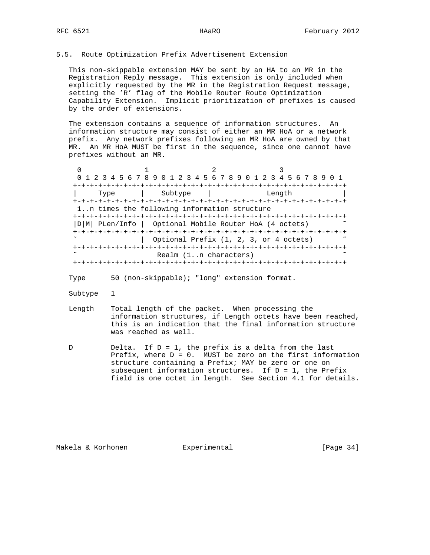### 5.5. Route Optimization Prefix Advertisement Extension

 This non-skippable extension MAY be sent by an HA to an MR in the Registration Reply message. This extension is only included when explicitly requested by the MR in the Registration Request message, setting the 'R' flag of the Mobile Router Route Optimization Capability Extension. Implicit prioritization of prefixes is caused by the order of extensions.

 The extension contains a sequence of information structures. An information structure may consist of either an MR HoA or a network prefix. Any network prefixes following an MR HoA are owned by that MR. An MR HoA MUST be first in the sequence, since one cannot have prefixes without an MR.

 $0$  1 2 3 0 1 2 3 4 5 6 7 8 9 0 1 2 3 4 5 6 7 8 9 0 1 2 3 4 5 6 7 8 9 0 1 +-+-+-+-+-+-+-+-+-+-+-+-+-+-+-+-+-+-+-+-+-+-+-+-+-+-+-+-+-+-+-+-+ | Type | Subtype | Length | +-+-+-+-+-+-+-+-+-+-+-+-+-+-+-+-+-+-+-+-+-+-+-+-+-+-+-+-+-+-+-+-+ 1..n times the following information structure +-+-+-+-+-+-+-+-+-+-+-+-+-+-+-+-+-+-+-+-+-+-+-+-+-+-+-+-+-+-+-+-+ |D|M| PLen/Info | Optional Mobile Router HoA (4 octets) ˜ +-+-+-+-+-+-+-+-+-+-+-+-+-+-+-+-+-+-+-+-+-+-+-+-+-+-+-+-+-+-+-+-+ | Optional Prefix (1, 2, 3, or 4 octets)  $\sim$  +-+-+-+-+-+-+-+-+-+-+-+-+-+-+-+-+-+-+-+-+-+-+-+-+-+-+-+-+-+-+-+-+ Realm (1..n characters) +-+-+-+-+-+-+-+-+-+-+-+-+-+-+-+-+-+-+-+-+-+-+-+-+-+-+-+-+-+-+-+-+

Type 50 (non-skippable); "long" extension format.

- Subtype 1
- Length Total length of the packet. When processing the information structures, if Length octets have been reached, this is an indication that the final information structure was reached as well.
- D Delta. If  $D = 1$ , the prefix is a delta from the last Prefix, where  $D = 0$ . MUST be zero on the first information structure containing a Prefix; MAY be zero or one on subsequent information structures. If  $D = 1$ , the Prefix field is one octet in length. See Section 4.1 for details.

Makela & Korhonen Experimental [Page 34]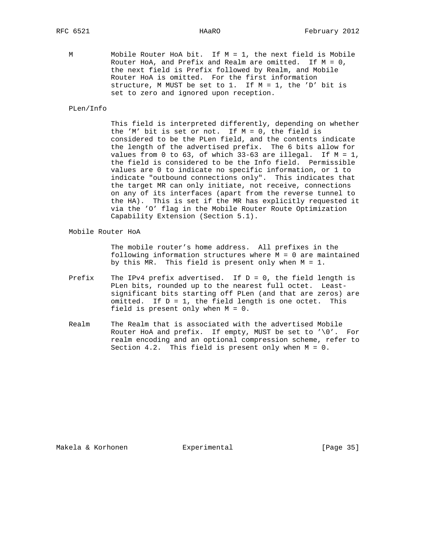M Mobile Router HoA bit. If M = 1, the next field is Mobile Router HoA, and Prefix and Realm are omitted. If  $M = 0$ , the next field is Prefix followed by Realm, and Mobile Router HoA is omitted. For the first information structure, M MUST be set to 1. If M = 1, the 'D' bit is set to zero and ignored upon reception.

PLen/Info

 This field is interpreted differently, depending on whether the 'M' bit is set or not. If M = 0, the field is considered to be the PLen field, and the contents indicate the length of the advertised prefix. The 6 bits allow for values from 0 to 63, of which  $33-63$  are illegal. If  $M = 1$ , the field is considered to be the Info field. Permissible values are 0 to indicate no specific information, or 1 to indicate "outbound connections only". This indicates that the target MR can only initiate, not receive, connections on any of its interfaces (apart from the reverse tunnel to the HA). This is set if the MR has explicitly requested it via the 'O' flag in the Mobile Router Route Optimization Capability Extension (Section 5.1).

Mobile Router HoA

 The mobile router's home address. All prefixes in the following information structures where M = 0 are maintained by this MR. This field is present only when M = 1.

- Prefix The IPv4 prefix advertised. If  $D = 0$ , the field length is PLen bits, rounded up to the nearest full octet. Least significant bits starting off PLen (and that are zeros) are omitted. If  $D = 1$ , the field length is one octet. This field is present only when M = 0.
- Realm The Realm that is associated with the advertised Mobile Router HoA and prefix. If empty, MUST be set to '\0'. For realm encoding and an optional compression scheme, refer to Section 4.2. This field is present only when M = 0.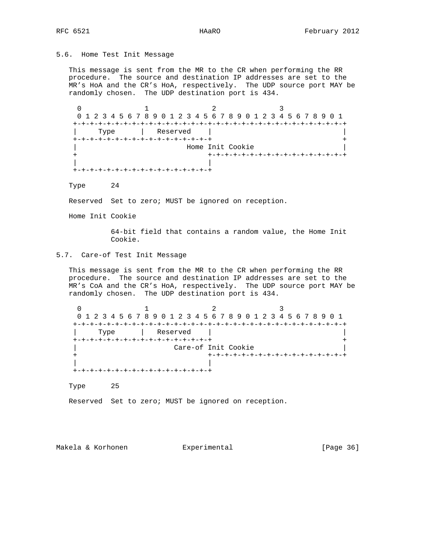# 5.6. Home Test Init Message

 This message is sent from the MR to the CR when performing the RR procedure. The source and destination IP addresses are set to the MR's HoA and the CR's HoA, respectively. The UDP source port MAY be randomly chosen. The UDP destination port is 434.

 $0$  1 2 3 0 1 2 3 4 5 6 7 8 9 0 1 2 3 4 5 6 7 8 9 0 1 2 3 4 5 6 7 8 9 0 1 +-+-+-+-+-+-+-+-+-+-+-+-+-+-+-+-+-+-+-+-+-+-+-+-+-+-+-+-+-+-+-+-+ | Type | Reserved | | +-+-+-+-+-+-+-+-+-+-+-+-+-+-+-+-+ + Home Init Cookie + +-+-+-+-+-+-+-+-+-+-+-+-+-+-+-+-+ | | +-+-+-+-+-+-+-+-+-+-+-+-+-+-+-+-+

Type 24

Reserved Set to zero; MUST be ignored on reception.

Home Init Cookie

 64-bit field that contains a random value, the Home Init Cookie.

# 5.7. Care-of Test Init Message

 This message is sent from the MR to the CR when performing the RR procedure. The source and destination IP addresses are set to the MR's CoA and the CR's HoA, respectively. The UDP source port MAY be randomly chosen. The UDP destination port is 434.

 $0$  1 2 3 0 1 2 3 4 5 6 7 8 9 0 1 2 3 4 5 6 7 8 9 0 1 2 3 4 5 6 7 8 9 0 1 +-+-+-+-+-+-+-+-+-+-+-+-+-+-+-+-+-+-+-+-+-+-+-+-+-+-+-+-+-+-+-+-+ | Type | Reserved | | +-+-+-+-+-+-+-+-+-+-+-+-+-+-+-+-+ + | Care-of Init Cookie | + +-+-+-+-+-+-+-+-+-+-+-+-+-+-+-+-+ | | +-+-+-+-+-+-+-+-+-+-+-+-+-+-+-+-+

Type 25

Reserved Set to zero; MUST be ignored on reception.

Makela & Korhonen Experimental [Page 36]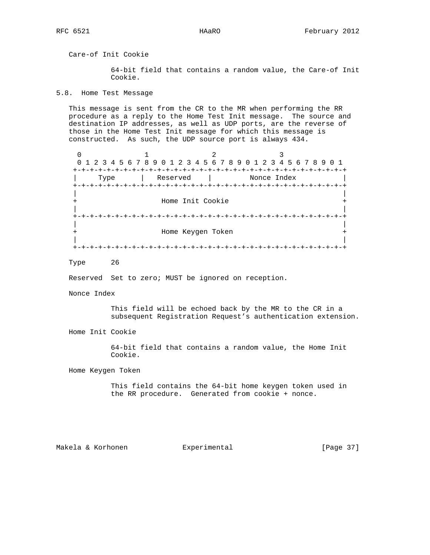Care-of Init Cookie

 64-bit field that contains a random value, the Care-of Init Cookie.

5.8. Home Test Message

 This message is sent from the CR to the MR when performing the RR procedure as a reply to the Home Test Init message. The source and destination IP addresses, as well as UDP ports, are the reverse of those in the Home Test Init message for which this message is constructed. As such, the UDP source port is always 434.

 $0$  1 2 3 0 1 2 3 4 5 6 7 8 9 0 1 2 3 4 5 6 7 8 9 0 1 2 3 4 5 6 7 8 9 0 1 +-+-+-+-+-+-+-+-+-+-+-+-+-+-+-+-+-+-+-+-+-+-+-+-+-+-+-+-+-+-+-+-+ | Type | Reserved | Nonce Index | +-+-+-+-+-+-+-+-+-+-+-+-+-+-+-+-+-+-+-+-+-+-+-+-+-+-+-+-+-+-+-+-+ | | Home Init Cookie | | +-+-+-+-+-+-+-+-+-+-+-+-+-+-+-+-+-+-+-+-+-+-+-+-+-+-+-+-+-+-+-+-+ | | + Home Keygen Token + | | +-+-+-+-+-+-+-+-+-+-+-+-+-+-+-+-+-+-+-+-+-+-+-+-+-+-+-+-+-+-+-+-+

Type 26

Reserved Set to zero; MUST be ignored on reception.

Nonce Index

 This field will be echoed back by the MR to the CR in a subsequent Registration Request's authentication extension.

Home Init Cookie

 64-bit field that contains a random value, the Home Init Cookie.

Home Keygen Token

 This field contains the 64-bit home keygen token used in the RR procedure. Generated from cookie + nonce.

Makela & Korhonen  $\qquad \qquad$  Experimental [Page 37]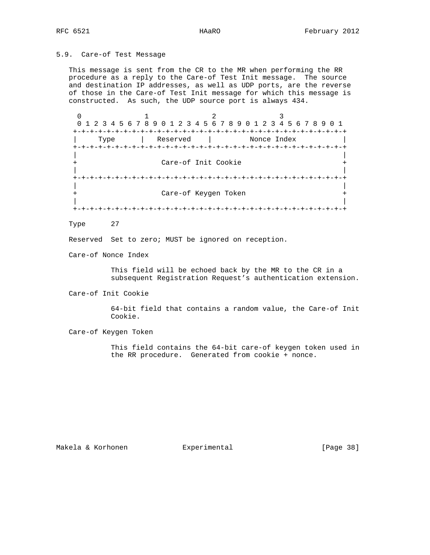# 5.9. Care-of Test Message

 This message is sent from the CR to the MR when performing the RR procedure as a reply to the Care-of Test Init message. The source and destination IP addresses, as well as UDP ports, are the reverse of those in the Care-of Test Init message for which this message is constructed. As such, the UDP source port is always 434.

 $0$  1 2 3 0 1 2 3 4 5 6 7 8 9 0 1 2 3 4 5 6 7 8 9 0 1 2 3 4 5 6 7 8 9 0 1 +-+-+-+-+-+-+-+-+-+-+-+-+-+-+-+-+-+-+-+-+-+-+-+-+-+-+-+-+-+-+-+-+ Type | Reserved | +-+-+-+-+-+-+-+-+-+-+-+-+-+-+-+-+-+-+-+-+-+-+-+-+-+-+-+-+-+-+-+-+ | | Care-of Init Cookie | | +-+-+-+-+-+-+-+-+-+-+-+-+-+-+-+-+-+-+-+-+-+-+-+-+-+-+-+-+-+-+-+-+ | | + Care-of Keygen Token + | | +-+-+-+-+-+-+-+-+-+-+-+-+-+-+-+-+-+-+-+-+-+-+-+-+-+-+-+-+-+-+-+-+

Type 27

Reserved Set to zero; MUST be ignored on reception.

Care-of Nonce Index

 This field will be echoed back by the MR to the CR in a subsequent Registration Request's authentication extension.

Care-of Init Cookie

 64-bit field that contains a random value, the Care-of Init Cookie.

Care-of Keygen Token

 This field contains the 64-bit care-of keygen token used in the RR procedure. Generated from cookie + nonce.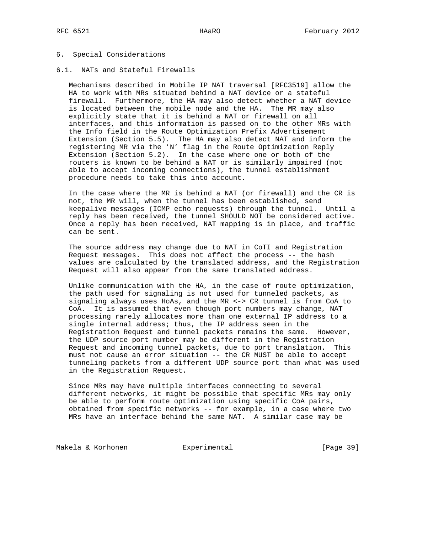### 6. Special Considerations

## 6.1. NATs and Stateful Firewalls

 Mechanisms described in Mobile IP NAT traversal [RFC3519] allow the HA to work with MRs situated behind a NAT device or a stateful firewall. Furthermore, the HA may also detect whether a NAT device is located between the mobile node and the HA. The MR may also explicitly state that it is behind a NAT or firewall on all interfaces, and this information is passed on to the other MRs with the Info field in the Route Optimization Prefix Advertisement Extension (Section 5.5). The HA may also detect NAT and inform the registering MR via the 'N' flag in the Route Optimization Reply Extension (Section 5.2). In the case where one or both of the routers is known to be behind a NAT or is similarly impaired (not able to accept incoming connections), the tunnel establishment procedure needs to take this into account.

 In the case where the MR is behind a NAT (or firewall) and the CR is not, the MR will, when the tunnel has been established, send keepalive messages (ICMP echo requests) through the tunnel. Until a reply has been received, the tunnel SHOULD NOT be considered active. Once a reply has been received, NAT mapping is in place, and traffic can be sent.

 The source address may change due to NAT in CoTI and Registration Request messages. This does not affect the process -- the hash values are calculated by the translated address, and the Registration Request will also appear from the same translated address.

 Unlike communication with the HA, in the case of route optimization, the path used for signaling is not used for tunneled packets, as signaling always uses HoAs, and the MR <-> CR tunnel is from CoA to CoA. It is assumed that even though port numbers may change, NAT processing rarely allocates more than one external IP address to a single internal address; thus, the IP address seen in the Registration Request and tunnel packets remains the same. However, the UDP source port number may be different in the Registration Request and incoming tunnel packets, due to port translation. This must not cause an error situation -- the CR MUST be able to accept tunneling packets from a different UDP source port than what was used in the Registration Request.

 Since MRs may have multiple interfaces connecting to several different networks, it might be possible that specific MRs may only be able to perform route optimization using specific CoA pairs, obtained from specific networks -- for example, in a case where two MRs have an interface behind the same NAT. A similar case may be

Makela & Korhonen Experimental [Page 39]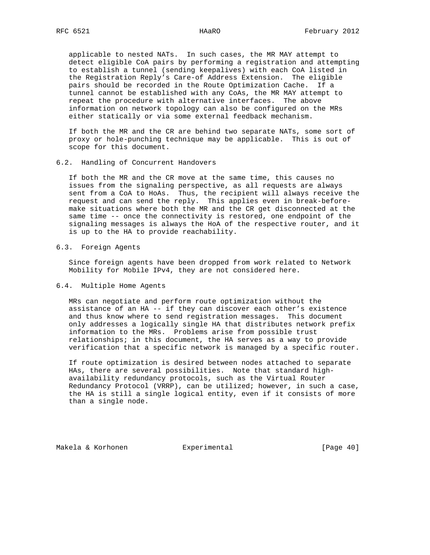applicable to nested NATs. In such cases, the MR MAY attempt to detect eligible CoA pairs by performing a registration and attempting to establish a tunnel (sending keepalives) with each CoA listed in the Registration Reply's Care-of Address Extension. The eligible pairs should be recorded in the Route Optimization Cache. If a tunnel cannot be established with any CoAs, the MR MAY attempt to repeat the procedure with alternative interfaces. The above information on network topology can also be configured on the MRs either statically or via some external feedback mechanism.

 If both the MR and the CR are behind two separate NATs, some sort of proxy or hole-punching technique may be applicable. This is out of scope for this document.

6.2. Handling of Concurrent Handovers

 If both the MR and the CR move at the same time, this causes no issues from the signaling perspective, as all requests are always sent from a CoA to HoAs. Thus, the recipient will always receive the request and can send the reply. This applies even in break-before make situations where both the MR and the CR get disconnected at the same time -- once the connectivity is restored, one endpoint of the signaling messages is always the HoA of the respective router, and it is up to the HA to provide reachability.

#### 6.3. Foreign Agents

 Since foreign agents have been dropped from work related to Network Mobility for Mobile IPv4, they are not considered here.

# 6.4. Multiple Home Agents

 MRs can negotiate and perform route optimization without the assistance of an HA -- if they can discover each other's existence and thus know where to send registration messages. This document only addresses a logically single HA that distributes network prefix information to the MRs. Problems arise from possible trust relationships; in this document, the HA serves as a way to provide verification that a specific network is managed by a specific router.

 If route optimization is desired between nodes attached to separate HAs, there are several possibilities. Note that standard high availability redundancy protocols, such as the Virtual Router Redundancy Protocol (VRRP), can be utilized; however, in such a case, the HA is still a single logical entity, even if it consists of more than a single node.

Makela & Korhonen  $\Box$  Experimental [Page 40]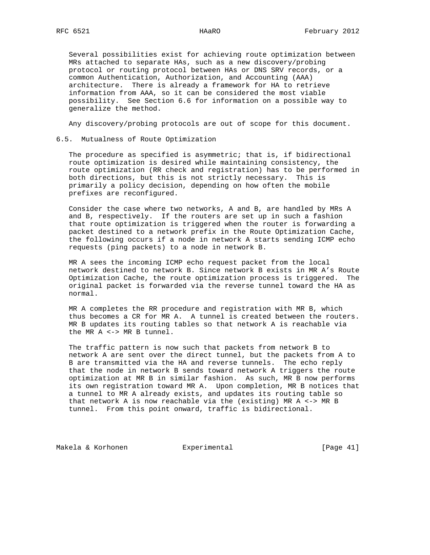Several possibilities exist for achieving route optimization between MRs attached to separate HAs, such as a new discovery/probing protocol or routing protocol between HAs or DNS SRV records, or a common Authentication, Authorization, and Accounting (AAA) architecture. There is already a framework for HA to retrieve information from AAA, so it can be considered the most viable possibility. See Section 6.6 for information on a possible way to generalize the method.

Any discovery/probing protocols are out of scope for this document.

## 6.5. Mutualness of Route Optimization

 The procedure as specified is asymmetric; that is, if bidirectional route optimization is desired while maintaining consistency, the route optimization (RR check and registration) has to be performed in both directions, but this is not strictly necessary. This is primarily a policy decision, depending on how often the mobile prefixes are reconfigured.

 Consider the case where two networks, A and B, are handled by MRs A and B, respectively. If the routers are set up in such a fashion that route optimization is triggered when the router is forwarding a packet destined to a network prefix in the Route Optimization Cache, the following occurs if a node in network A starts sending ICMP echo requests (ping packets) to a node in network B.

 MR A sees the incoming ICMP echo request packet from the local network destined to network B. Since network B exists in MR A's Route Optimization Cache, the route optimization process is triggered. The original packet is forwarded via the reverse tunnel toward the HA as normal.

 MR A completes the RR procedure and registration with MR B, which thus becomes a CR for MR A. A tunnel is created between the routers. MR B updates its routing tables so that network A is reachable via the MR A <-> MR B tunnel.

 The traffic pattern is now such that packets from network B to network A are sent over the direct tunnel, but the packets from A to B are transmitted via the HA and reverse tunnels. The echo reply that the node in network B sends toward network A triggers the route optimization at MR B in similar fashion. As such, MR B now performs its own registration toward MR A. Upon completion, MR B notices that a tunnel to MR A already exists, and updates its routing table so that network A is now reachable via the (existing) MR A <-> MR B tunnel. From this point onward, traffic is bidirectional.

Makela & Korhonen  $\qquad \qquad$  Experimental  $\qquad \qquad$  [Page 41]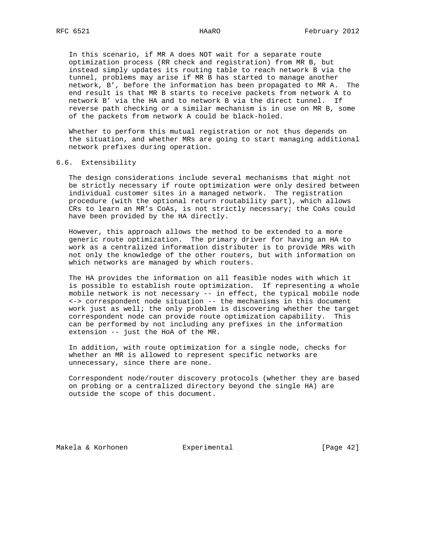In this scenario, if MR A does NOT wait for a separate route optimization process (RR check and registration) from MR B, but instead simply updates its routing table to reach network B via the tunnel, problems may arise if MR B has started to manage another network, B', before the information has been propagated to MR A. The end result is that MR B starts to receive packets from network A to network B' via the HA and to network B via the direct tunnel. If reverse path checking or a similar mechanism is in use on MR B, some of the packets from network A could be black-holed.

 Whether to perform this mutual registration or not thus depends on the situation, and whether MRs are going to start managing additional network prefixes during operation.

# 6.6. Extensibility

 The design considerations include several mechanisms that might not be strictly necessary if route optimization were only desired between individual customer sites in a managed network. The registration procedure (with the optional return routability part), which allows CRs to learn an MR's CoAs, is not strictly necessary; the CoAs could have been provided by the HA directly.

 However, this approach allows the method to be extended to a more generic route optimization. The primary driver for having an HA to work as a centralized information distributer is to provide MRs with not only the knowledge of the other routers, but with information on which networks are managed by which routers.

 The HA provides the information on all feasible nodes with which it is possible to establish route optimization. If representing a whole mobile network is not necessary -- in effect, the typical mobile node <-> correspondent node situation -- the mechanisms in this document work just as well; the only problem is discovering whether the target correspondent node can provide route optimization capability. This can be performed by not including any prefixes in the information extension -- just the HoA of the MR.

 In addition, with route optimization for a single node, checks for whether an MR is allowed to represent specific networks are unnecessary, since there are none.

 Correspondent node/router discovery protocols (whether they are based on probing or a centralized directory beyond the single HA) are outside the scope of this document.

Makela & Korhonen Experimental [Page 42]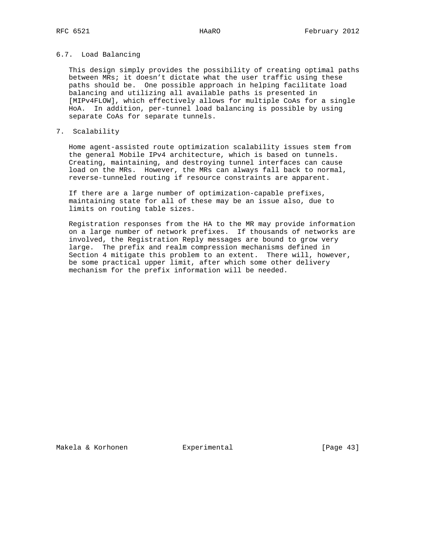### 6.7. Load Balancing

 This design simply provides the possibility of creating optimal paths between MRs; it doesn't dictate what the user traffic using these paths should be. One possible approach in helping facilitate load balancing and utilizing all available paths is presented in [MIPv4FLOW], which effectively allows for multiple CoAs for a single HoA. In addition, per-tunnel load balancing is possible by using separate CoAs for separate tunnels.

## 7. Scalability

 Home agent-assisted route optimization scalability issues stem from the general Mobile IPv4 architecture, which is based on tunnels. Creating, maintaining, and destroying tunnel interfaces can cause load on the MRs. However, the MRs can always fall back to normal, reverse-tunneled routing if resource constraints are apparent.

 If there are a large number of optimization-capable prefixes, maintaining state for all of these may be an issue also, due to limits on routing table sizes.

 Registration responses from the HA to the MR may provide information on a large number of network prefixes. If thousands of networks are involved, the Registration Reply messages are bound to grow very large. The prefix and realm compression mechanisms defined in Section 4 mitigate this problem to an extent. There will, however, be some practical upper limit, after which some other delivery mechanism for the prefix information will be needed.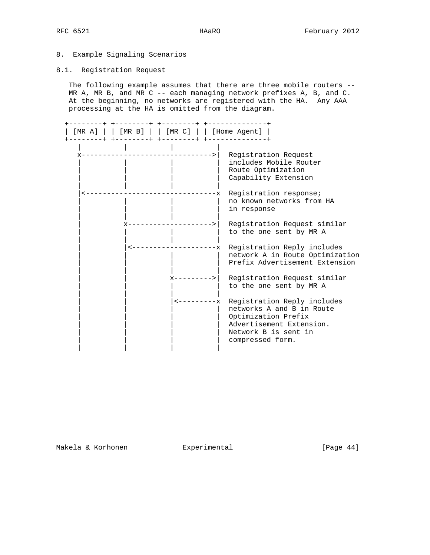# 8. Example Signaling Scenarios

# 8.1. Registration Request

The following example assumes that there are three mobile routers --MR A, MR B, and MR C -- each managing network prefixes A, B, and C. At the beginning, no networks are registered with the HA. Any AAA processing at the HA is omitted from the diagram.

| ---+ +--------+ +--------+ +----------<br>$[MR A]   [MR B]   [MR C]   [Home Agent]$ |                |                                                                                                                                                                     |
|-------------------------------------------------------------------------------------|----------------|---------------------------------------------------------------------------------------------------------------------------------------------------------------------|
| ------------------------>                                                           |                | Registration Request<br>includes Mobile Router<br>Route Optimization<br>Capability Extension                                                                        |
|                                                                                     | $-x$           | Registration response;<br>no known networks from HA<br>in response                                                                                                  |
|                                                                                     | ------>        | Registration Request similar<br>to the one sent by MR A                                                                                                             |
| -------------x                                                                      |                | Registration Reply includes<br>network A in Route Optimization<br>Prefix Advertisement Extension                                                                    |
|                                                                                     | $x$ ---------> | Registration Request similar<br>to the one sent by MR A                                                                                                             |
|                                                                                     |                | <---------- Registration Reply includes<br>networks A and B in Route<br>Optimization Prefix<br>Advertisement Extension.<br>Network B is sent in<br>compressed form. |

Makela & Korhonen Experimental [Page 44]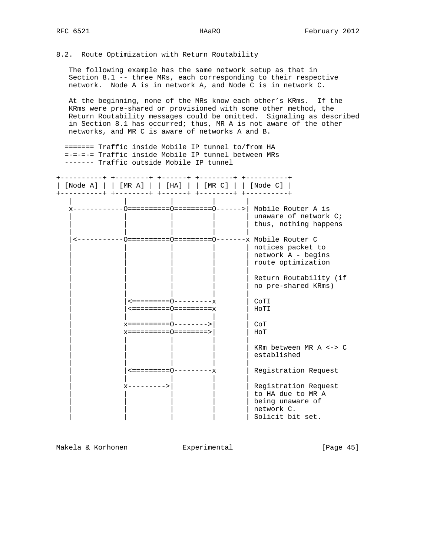# 8.2. Route Optimization with Return Routability

 The following example has the same network setup as that in Section 8.1 -- three MRs, each corresponding to their respective network. Node A is in network A, and Node C is in network C.

 At the beginning, none of the MRs know each other's KRms. If the KRms were pre-shared or provisioned with some other method, the Return Routability messages could be omitted. Signaling as described in Section 8.1 has occurred; thus, MR A is not aware of the other networks, and MR C is aware of networks A and B.

 ======= Traffic inside Mobile IP tunnel to/from HA =-=-=-= Traffic inside Mobile IP tunnel between MRs ------- Traffic outside Mobile IP tunnel

+----------+ +--------+ +------+ +--------+ +----------+ | [Node A] | | [MR A] | | [HA] | | [MR C] | | [Node C] | +----------+ +--------+ +------+ +--------+ +----------+ | | | | | x------------O==========O=========O------>| Mobile Router A is | unaware of network C; | thus, nothing happens | | | | | |<-----------O==========O=========O-------x Mobile Router C | | | | | notices packet to | | | | | network A - begins | route optimization | | | | | | Return Routability (if | no pre-shared KRms) | | | | | | |<=========O---------x | CoTI | |<=========O=========x | HoTI | | | | | | x==========O-------->| | CoT | x==========O========>| | HoT | | | | | KRm between MR A <-> C established | | | | | | |<=========O---------x | Registration Request | | | | | x--------->| | | Registration Request to HA due to MR A | being unaware of | network C. | Solicit bit set.

Makela & Korhonen  $\Box$  Experimental [Page 45]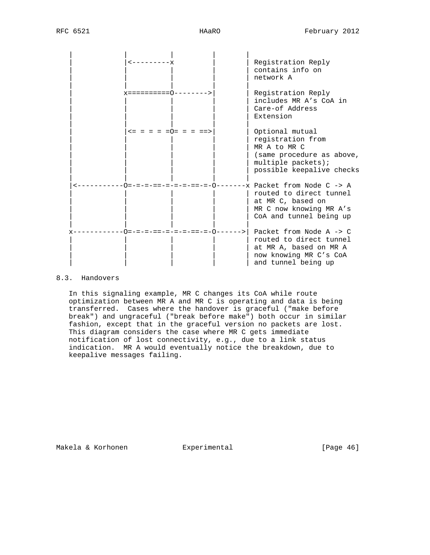

# 8.3. Handovers

 In this signaling example, MR C changes its CoA while route optimization between MR A and MR C is operating and data is being transferred. Cases where the handover is graceful ("make before break") and ungraceful ("break before make") both occur in similar fashion, except that in the graceful version no packets are lost. This diagram considers the case where MR C gets immediate notification of lost connectivity, e.g., due to a link status indication. MR A would eventually notice the breakdown, due to keepalive messages failing.

Makela & Korhonen  $\Box$  Experimental [Page 46]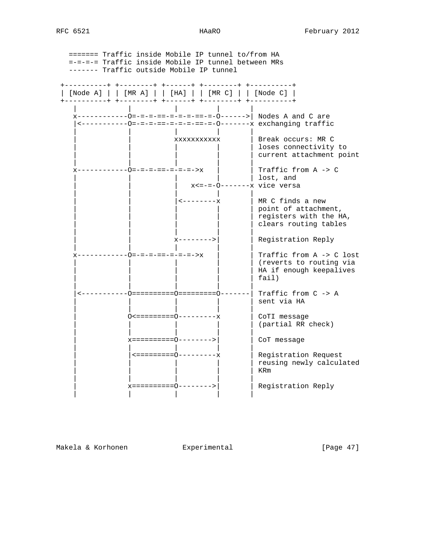======= Traffic inside Mobile IP tunnel to/from HA =-=-=-= Traffic inside Mobile IP tunnel between MRs ------- Traffic outside Mobile IP tunnel +----------+ +--------+ +------+ +--------+ +----------+ | [Node A] | | [MR A] | | [HA] | | [MR C] | | [Node C] | +----------+ +--------+ +------+ +--------+ +----------+ | | | | | x------------O=-=-=-==-=-=-=-==-=-O------>| Nodes A and C are |<-----------O=-=-=-==-=-=-=-==-=-O-------x exchanging traffic | | | | | | | xxxxxxxxxxx | Break occurs: MR C | | | | | | | | | | loses connectivity to | | | | | | | | | | | | | | | current attachment point | | | | | x------------O=-=-=-==-=-=-=->x | | Traffic from A -> C | | Traffic from A -> C<br>| | lost, and x<=-=-0--------x vice versa | | | | | | | |<--------x | MR C finds a new | | | | | | | | | | | point of attachment, | registers with the HA, | clears routing tables | | | | |  $|x$ -------->| | Registration Reply | | | | | x------------O=-=-=-==-=-=-=->x | | Traffic from A -> C lost (reverts to routing via HA if enough keepalives  $|$  fail) | | | | | |<-----------O==========O=========O-------| Traffic from C -> A | | | | | sent via HA | | | | | | O<=========O---------x | CoTI message | (partial RR check) | | | | | | x==========O-------->| | CoT message | | | | |  $|$  <=========0-----------x  $|$  Registration Request | reusing newly calculated<br>| KRm | | | | | KRm | | | | | | x==========O-------->| | Registration Reply | | | | |

Makela & Korhonen  $\qquad \qquad$  Experimental  $\qquad \qquad$  [Page 47]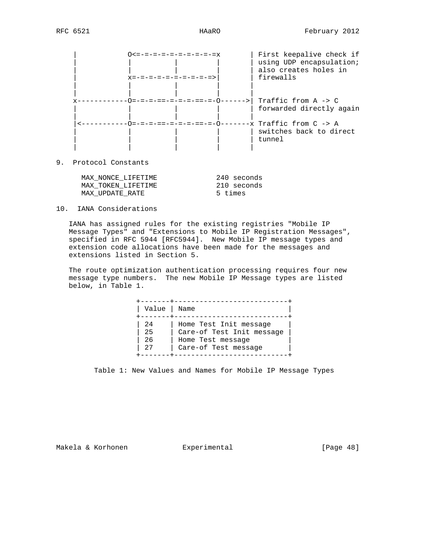| -=-=-=-=-=-=-=-=-=<br>-=-=-=-=-=-=-=>                          | First keepalive check if<br>using UDP encapsulation;<br>also creates holes in<br>firewalls |
|----------------------------------------------------------------|--------------------------------------------------------------------------------------------|
| x------------0=-=-=-=-=-=-=-=-=-0------>   Traffic from A -> C | forwarded directly again                                                                   |
|                                                                | switches back to direct<br>tunnel                                                          |

9. Protocol Constants

| MAX NONCE LIFETIME | 240 seconds |
|--------------------|-------------|
| MAX TOKEN LIFETIME | 210 seconds |
| MAX UPDATE RATE    | 5 times     |

### 10. IANA Considerations

 IANA has assigned rules for the existing registries "Mobile IP Message Types" and "Extensions to Mobile IP Registration Messages", specified in RFC 5944 [RFC5944]. New Mobile IP message types and extension code allocations have been made for the messages and extensions listed in Section 5.

 The route optimization authentication processing requires four new message type numbers. The new Mobile IP Message types are listed below, in Table 1.

| Value                | Name                                                                                             |  |
|----------------------|--------------------------------------------------------------------------------------------------|--|
| 24<br>25<br>26<br>27 | Home Test Init message<br>Care-of Test Init message<br>Home Test message<br>Care-of Test message |  |

Table 1: New Values and Names for Mobile IP Message Types

Makela & Korhonen  $\qquad \qquad$  Experimental  $\qquad \qquad$  [Page 48]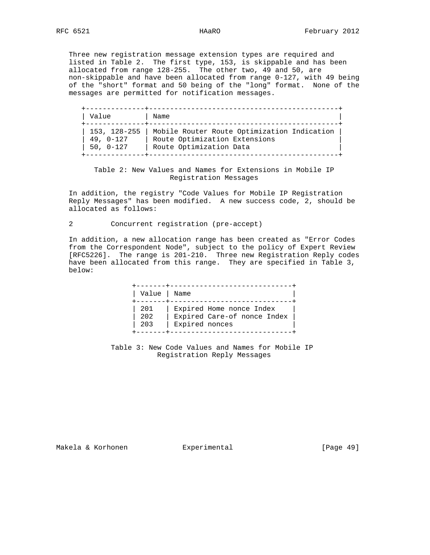Three new registration message extension types are required and listed in Table 2. The first type, 153, is skippable and has been allocated from range 128-255. The other two, 49 and 50, are non-skippable and have been allocated from range 0-127, with 49 being of the "short" format and 50 being of the "long" format. None of the messages are permitted for notification messages.

| Value                                    | Name                                                                                                    |  |
|------------------------------------------|---------------------------------------------------------------------------------------------------------|--|
| 153, 128-255<br>$49, 0-127$<br>50, 0-127 | Mobile Router Route Optimization Indication<br>Route Optimization Extensions<br>Route Optimization Data |  |

 Table 2: New Values and Names for Extensions in Mobile IP Registration Messages

 In addition, the registry "Code Values for Mobile IP Registration Reply Messages" has been modified. A new success code, 2, should be allocated as follows:

2 Concurrent registration (pre-accept)

 In addition, a new allocation range has been created as "Error Codes from the Correspondent Node", subject to the policy of Expert Review [RFC5226]. The range is 201-210. Three new Registration Reply codes have been allocated from this range. They are specified in Table 3, below:

| Value             | Name                                                                      |
|-------------------|---------------------------------------------------------------------------|
| 201<br>202<br>203 | Expired Home nonce Index<br>Expired Care-of nonce Index<br>Expired nonces |

 Table 3: New Code Values and Names for Mobile IP Registration Reply Messages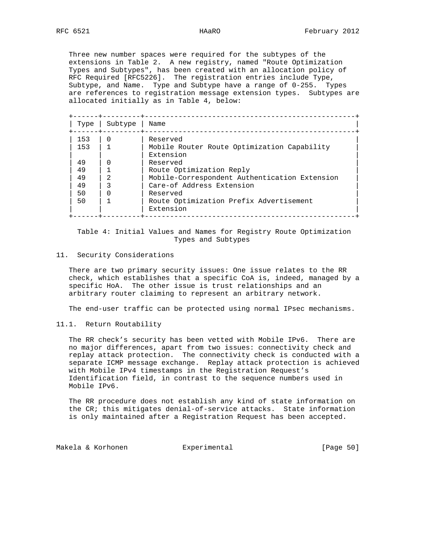Three new number spaces were required for the subtypes of the extensions in Table 2. A new registry, named "Route Optimization Types and Subtypes", has been created with an allocation policy of RFC Required [RFC5226]. The registration entries include Type, Subtype, and Name. Type and Subtype have a range of 0-255. Types are references to registration message extension types. Subtypes are allocated initially as in Table 4, below:

| Type | Subtype        | Name                                                     |
|------|----------------|----------------------------------------------------------|
| 153  |                | Reserved                                                 |
| 153  |                | Mobile Router Route Optimization Capability<br>Extension |
| 49   |                | Reserved                                                 |
| 49   |                | Route Optimization Reply                                 |
| 49   | $\mathfrak{D}$ | Mobile-Correspondent Authentication Extension            |
| 49   |                | Care-of Address Extension                                |
| 50   |                | Reserved                                                 |
| 50   |                | Route Optimization Prefix Advertisement<br>Extension     |

 Table 4: Initial Values and Names for Registry Route Optimization Types and Subtypes

### 11. Security Considerations

 There are two primary security issues: One issue relates to the RR check, which establishes that a specific CoA is, indeed, managed by a specific HoA. The other issue is trust relationships and an arbitrary router claiming to represent an arbitrary network.

The end-user traffic can be protected using normal IPsec mechanisms.

11.1. Return Routability

 The RR check's security has been vetted with Mobile IPv6. There are no major differences, apart from two issues: connectivity check and replay attack protection. The connectivity check is conducted with a separate ICMP message exchange. Replay attack protection is achieved with Mobile IPv4 timestamps in the Registration Request's Identification field, in contrast to the sequence numbers used in Mobile IPv6.

 The RR procedure does not establish any kind of state information on the CR; this mitigates denial-of-service attacks. State information is only maintained after a Registration Request has been accepted.

Makela & Korhonen  $\qquad \qquad$  Experimental  $\qquad \qquad$  [Page 50]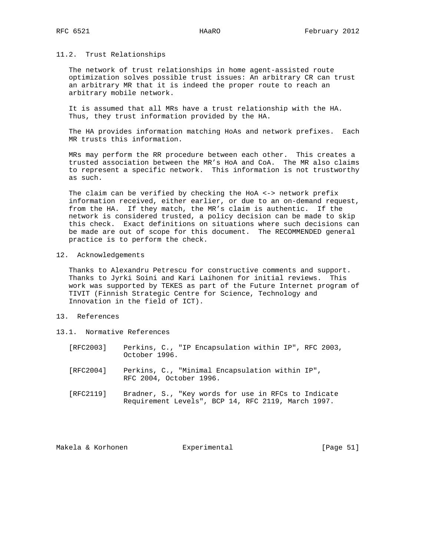### 11.2. Trust Relationships

 The network of trust relationships in home agent-assisted route optimization solves possible trust issues: An arbitrary CR can trust an arbitrary MR that it is indeed the proper route to reach an arbitrary mobile network.

 It is assumed that all MRs have a trust relationship with the HA. Thus, they trust information provided by the HA.

 The HA provides information matching HoAs and network prefixes. Each MR trusts this information.

 MRs may perform the RR procedure between each other. This creates a trusted association between the MR's HoA and CoA. The MR also claims to represent a specific network. This information is not trustworthy as such.

 The claim can be verified by checking the HoA <-> network prefix information received, either earlier, or due to an on-demand request, from the HA. If they match, the MR's claim is authentic. If the network is considered trusted, a policy decision can be made to skip this check. Exact definitions on situations where such decisions can be made are out of scope for this document. The RECOMMENDED general practice is to perform the check.

### 12. Acknowledgements

 Thanks to Alexandru Petrescu for constructive comments and support. Thanks to Jyrki Soini and Kari Laihonen for initial reviews. This work was supported by TEKES as part of the Future Internet program of TIVIT (Finnish Strategic Centre for Science, Technology and Innovation in the field of ICT).

# 13. References

- 13.1. Normative References
	- [RFC2003] Perkins, C., "IP Encapsulation within IP", RFC 2003, October 1996.
	- [RFC2004] Perkins, C., "Minimal Encapsulation within IP", RFC 2004, October 1996.
	- [RFC2119] Bradner, S., "Key words for use in RFCs to Indicate Requirement Levels", BCP 14, RFC 2119, March 1997.

Makela & Korhonen  $\Box$  Experimental [Page 51]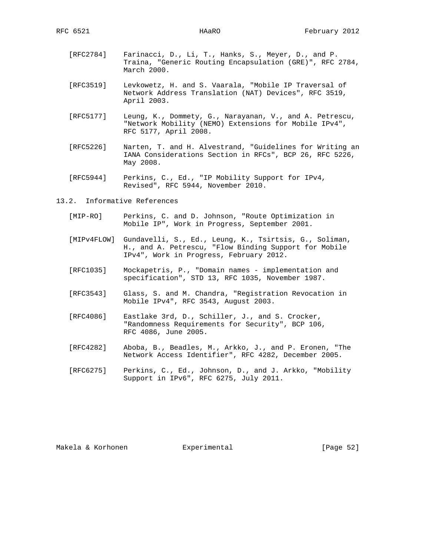- [RFC2784] Farinacci, D., Li, T., Hanks, S., Meyer, D., and P. Traina, "Generic Routing Encapsulation (GRE)", RFC 2784, March 2000.
- [RFC3519] Levkowetz, H. and S. Vaarala, "Mobile IP Traversal of Network Address Translation (NAT) Devices", RFC 3519, April 2003.
- [RFC5177] Leung, K., Dommety, G., Narayanan, V., and A. Petrescu, "Network Mobility (NEMO) Extensions for Mobile IPv4", RFC 5177, April 2008.
- [RFC5226] Narten, T. and H. Alvestrand, "Guidelines for Writing an IANA Considerations Section in RFCs", BCP 26, RFC 5226, May 2008.
- [RFC5944] Perkins, C., Ed., "IP Mobility Support for IPv4, Revised", RFC 5944, November 2010.
- 13.2. Informative References
	- [MIP-RO] Perkins, C. and D. Johnson, "Route Optimization in Mobile IP", Work in Progress, September 2001.
	- [MIPv4FLOW] Gundavelli, S., Ed., Leung, K., Tsirtsis, G., Soliman, H., and A. Petrescu, "Flow Binding Support for Mobile IPv4", Work in Progress, February 2012.
	- [RFC1035] Mockapetris, P., "Domain names implementation and specification", STD 13, RFC 1035, November 1987.
	- [RFC3543] Glass, S. and M. Chandra, "Registration Revocation in Mobile IPv4", RFC 3543, August 2003.
	- [RFC4086] Eastlake 3rd, D., Schiller, J., and S. Crocker, "Randomness Requirements for Security", BCP 106, RFC 4086, June 2005.
	- [RFC4282] Aboba, B., Beadles, M., Arkko, J., and P. Eronen, "The Network Access Identifier", RFC 4282, December 2005.
	- [RFC6275] Perkins, C., Ed., Johnson, D., and J. Arkko, "Mobility Support in IPv6", RFC 6275, July 2011.